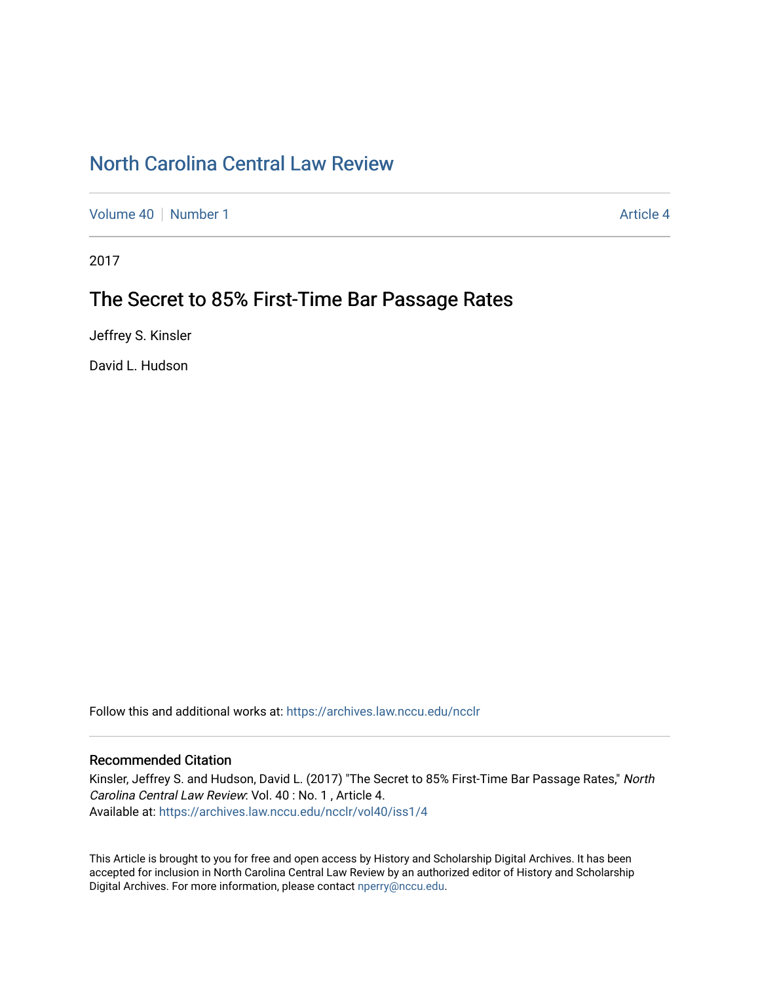# [North Carolina Central Law Review](https://archives.law.nccu.edu/ncclr)

[Volume 40](https://archives.law.nccu.edu/ncclr/vol40) [Number 1](https://archives.law.nccu.edu/ncclr/vol40/iss1) Article 4

2017

# The Secret to 85% First-Time Bar Passage Rates

Jeffrey S. Kinsler

David L. Hudson

Follow this and additional works at: [https://archives.law.nccu.edu/ncclr](https://archives.law.nccu.edu/ncclr?utm_source=archives.law.nccu.edu%2Fncclr%2Fvol40%2Fiss1%2F4&utm_medium=PDF&utm_campaign=PDFCoverPages) 

# Recommended Citation

Kinsler, Jeffrey S. and Hudson, David L. (2017) "The Secret to 85% First-Time Bar Passage Rates," North Carolina Central Law Review: Vol. 40 : No. 1 , Article 4. Available at: [https://archives.law.nccu.edu/ncclr/vol40/iss1/4](https://archives.law.nccu.edu/ncclr/vol40/iss1/4?utm_source=archives.law.nccu.edu%2Fncclr%2Fvol40%2Fiss1%2F4&utm_medium=PDF&utm_campaign=PDFCoverPages) 

This Article is brought to you for free and open access by History and Scholarship Digital Archives. It has been accepted for inclusion in North Carolina Central Law Review by an authorized editor of History and Scholarship Digital Archives. For more information, please contact [nperry@nccu.edu](mailto:nperry@nccu.edu).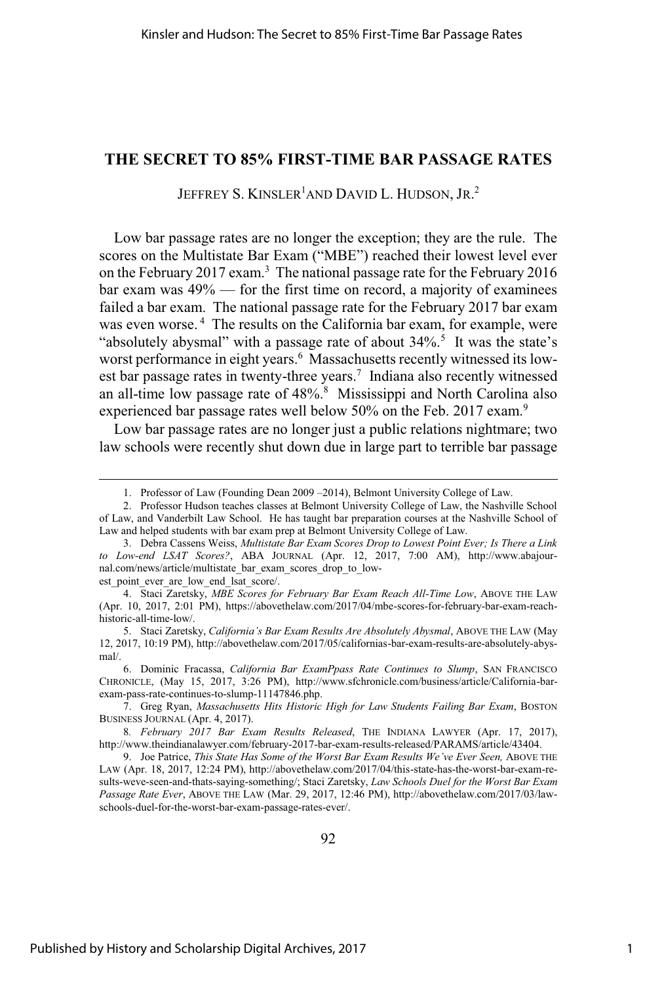# **THE SECRET TO 85% FIRST-TIME BAR PASSAGE RATES**

JEFFREY S. KINSLER<sup>1</sup>AND DAVID L. HUDSON, JR.<sup>2</sup>

Low bar passage rates are no longer the exception; they are the rule. The scores on the Multistate Bar Exam ("MBE") reached their lowest level ever on the February 2017 exam.<sup>3</sup> The national passage rate for the February 2016 bar exam was 49% — for the first time on record, a majority of examinees failed a bar exam. The national passage rate for the February 2017 bar exam was even worse.<sup>4</sup> The results on the California bar exam, for example, were "absolutely abysmal" with a passage rate of about  $34\%$ .<sup>5</sup> It was the state's worst performance in eight years.<sup>6</sup> Massachusetts recently witnessed its lowest bar passage rates in twenty-three years.<sup>7</sup> Indiana also recently witnessed an all-time low passage rate of  $48\%$ .<sup>8</sup> Mississippi and North Carolina also experienced bar passage rates well below 50% on the Feb. 2017 exam.<sup>9</sup>

Low bar passage rates are no longer just a public relations nightmare; two law schools were recently shut down due in large part to terrible bar passage

<sup>1.</sup> Professor of Law (Founding Dean 2009 –2014), Belmont University College of Law.

<sup>2.</sup> Professor Hudson teaches classes at Belmont University College of Law, the Nashville School of Law, and Vanderbilt Law School. He has taught bar preparation courses at the Nashville School of Law and helped students with bar exam prep at Belmont University College of Law.

<sup>3.</sup> Debra Cassens Weiss, *Multistate Bar Exam Scores Drop to Lowest Point Ever; Is There a Link to Low-end LSAT Scores?*, ABA JOURNAL (Apr. 12, 2017, 7:00 AM), http://www.abajournal.com/news/article/multistate\_bar\_exam\_scores\_drop\_to\_lowest point ever are low end lsat score/.

<sup>4.</sup> Staci Zaretsky, *MBE Scores for February Bar Exam Reach All-Time Low*, ABOVE THE LAW (Apr. 10, 2017, 2:01 PM), https://abovethelaw.com/2017/04/mbe-scores-for-february-bar-exam-reachhistoric-all-time-low/.

<sup>5.</sup> Staci Zaretsky, *California's Bar Exam Results Are Absolutely Abysmal*, ABOVE THE LAW (May 12, 2017, 10:19 PM), http://abovethelaw.com/2017/05/californias-bar-exam-results-are-absolutely-abysmal/.

<sup>6.</sup> Dominic Fracassa, *California Bar ExamPpass Rate Continues to Slump*, SAN FRANCISCO CHRONICLE, (May 15, 2017, 3:26 PM), http://www.sfchronicle.com/business/article/California-barexam-pass-rate-continues-to-slump-11147846.php.

<sup>7.</sup> Greg Ryan, *Massachusetts Hits Historic High for Law Students Failing Bar Exam*, BOSTON BUSINESS JOURNAL (Apr. 4, 2017).

<sup>8</sup>*. February 2017 Bar Exam Results Released*, THE INDIANA LAWYER (Apr. 17, 2017), http://www.theindianalawyer.com/february-2017-bar-exam-results-released/PARAMS/article/43404.

<sup>9.</sup> Joe Patrice, *This State Has Some of the Worst Bar Exam Results We've Ever Seen,* ABOVE THE LAW (Apr. 18, 2017, 12:24 PM), http://abovethelaw.com/2017/04/this-state-has-the-worst-bar-exam-results-weve-seen-and-thats-saying-something/; Staci Zaretsky, *Law Schools Duel for the Worst Bar Exam Passage Rate Ever*, ABOVE THE LAW (Mar. 29, 2017, 12:46 PM), http://abovethelaw.com/2017/03/lawschools-duel-for-the-worst-bar-exam-passage-rates-ever/.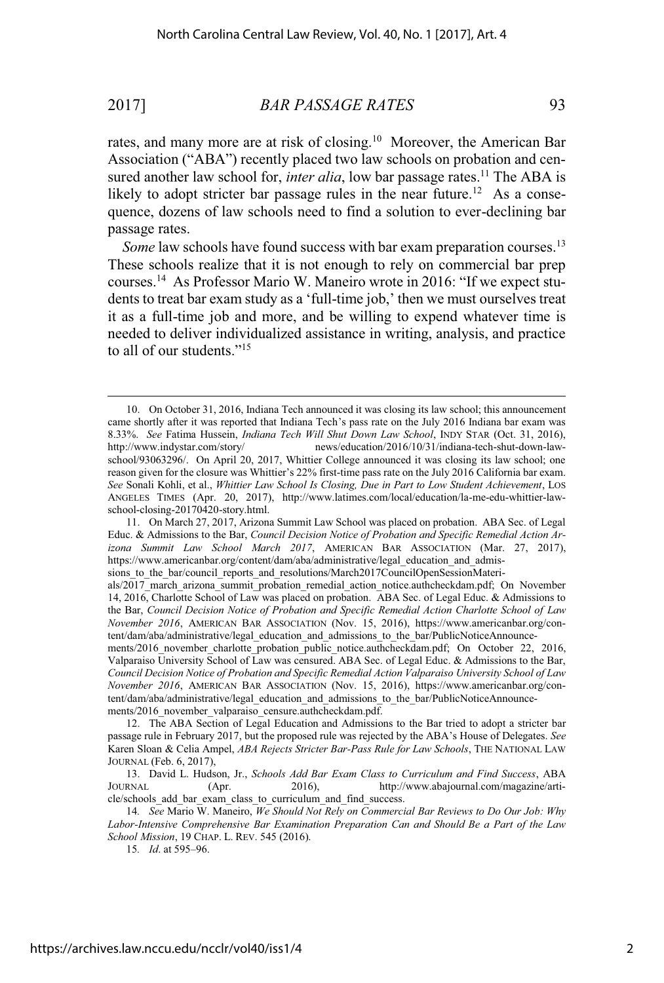rates, and many more are at risk of closing.<sup>10</sup> Moreover, the American Bar Association ("ABA") recently placed two law schools on probation and censured another law school for, *inter alia*, low bar passage rates.<sup>11</sup> The ABA is likely to adopt stricter bar passage rules in the near future.<sup>12</sup> As a consequence, dozens of law schools need to find a solution to ever-declining bar passage rates.

*Some* law schools have found success with bar exam preparation courses.<sup>13</sup> These schools realize that it is not enough to rely on commercial bar prep courses.<sup>14</sup> As Professor Mario W. Maneiro wrote in 2016: "If we expect students to treat bar exam study as a 'full-time job,' then we must ourselves treat it as a full-time job and more, and be willing to expend whatever time is needed to deliver individualized assistance in writing, analysis, and practice to all of our students."<sup>15</sup>

<sup>10.</sup> On October 31, 2016, Indiana Tech announced it was closing its law school; this announcement came shortly after it was reported that Indiana Tech's pass rate on the July 2016 Indiana bar exam was 8.33%. *See* Fatima Hussein, *Indiana Tech Will Shut Down Law School*, INDY STAR (Oct. 31, 2016), http://www.indystar.com/story/ news/education/2016/10/31/indiana-tech-shut-down-lawschool/93063296/. On April 20, 2017, Whittier College announced it was closing its law school; one reason given for the closure was Whittier's 22% first-time pass rate on the July 2016 California bar exam. *See* Sonali Kohli, et al., *Whittier Law School Is Closing, Due in Part to Low Student Achievement*, LOS ANGELES TIMES (Apr. 20, 2017), http://www.latimes.com/local/education/la-me-edu-whittier-lawschool-closing-20170420-story.html.

<sup>11.</sup> On March 27, 2017, Arizona Summit Law School was placed on probation. ABA Sec. of Legal Educ. & Admissions to the Bar, *Council Decision Notice of Probation and Specific Remedial Action Arizona Summit Law School March 2017*, AMERICAN BAR ASSOCIATION (Mar. 27, 2017), https://www.americanbar.org/content/dam/aba/administrative/legal\_education\_and\_admissions to the bar/council reports and resolutions/March2017CouncilOpenSessionMateri-

als/2017 march arizona summit probation remedial action notice.authcheckdam.pdf; On November 14, 2016, Charlotte School of Law was placed on probation. ABA Sec. of Legal Educ. & Admissions to the Bar, *Council Decision Notice of Probation and Specific Remedial Action Charlotte School of Law November 2016*, AMERICAN BAR ASSOCIATION (Nov. 15, 2016), https://www.americanbar.org/content/dam/aba/administrative/legal\_education\_and\_admissions\_to\_the\_bar/PublicNoticeAnnounce-

ments/2016\_november\_charlotte\_probation\_public\_notice.authcheckdam.pdf; On October 22, 2016, Valparaiso University School of Law was censured. ABA Sec. of Legal Educ. & Admissions to the Bar, *Council Decision Notice of Probation and Specific Remedial Action Valparaiso University School of Law November 2016*, AMERICAN BAR ASSOCIATION (Nov. 15, 2016), https://www.americanbar.org/content/dam/aba/administrative/legal\_education\_and\_admissions\_to\_the\_bar/PublicNoticeAnnouncements/2016\_november\_valparaiso\_censure.authcheckdam.pdf.

<sup>12.</sup> The ABA Section of Legal Education and Admissions to the Bar tried to adopt a stricter bar passage rule in February 2017, but the proposed rule was rejected by the ABA's House of Delegates. *See* Karen Sloan & Celia Ampel, *ABA Rejects Stricter Bar-Pass Rule for Law Schools*, THE NATIONAL LAW JOURNAL (Feb. 6, 2017),

<sup>13.</sup> David L. Hudson, Jr., *Schools Add Bar Exam Class to Curriculum and Find Success*, ABA JOURNAL (Apr. 2016), http://www.abajournal.com/magazine/article/schools add bar exam class to curriculum and find success.

<sup>14</sup>*. See* Mario W. Maneiro, *We Should Not Rely on Commercial Bar Reviews to Do Our Job: Why Labor-Intensive Comprehensive Bar Examination Preparation Can and Should Be a Part of the Law School Mission*, 19 CHAP. L. REV. 545 (2016).

<sup>15</sup>*. Id*. at 595–96.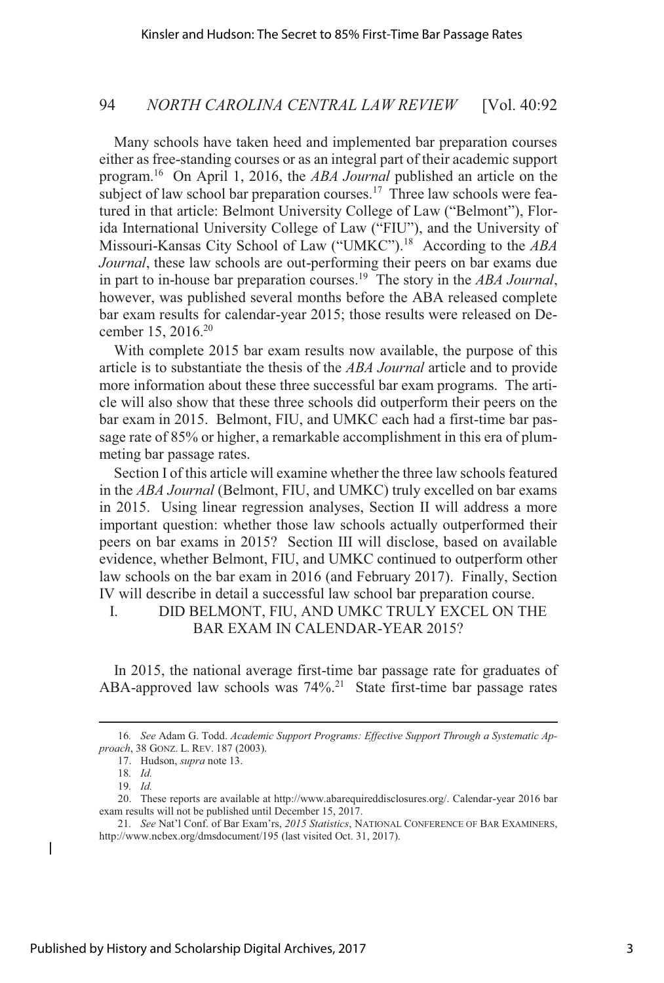Many schools have taken heed and implemented bar preparation courses either as free-standing courses or as an integral part of their academic support program.<sup>16</sup> On April 1, 2016, the *ABA Journal* published an article on the subject of law school bar preparation courses.<sup>17</sup> Three law schools were featured in that article: Belmont University College of Law ("Belmont"), Florida International University College of Law ("FIU"), and the University of Missouri-Kansas City School of Law ("UMKC").<sup>18</sup> According to the *ABA Journal*, these law schools are out-performing their peers on bar exams due in part to in-house bar preparation courses.<sup>19</sup> The story in the *ABA Journal*, however, was published several months before the ABA released complete bar exam results for calendar-year 2015; those results were released on December 15, 2016.<sup>20</sup>

With complete 2015 bar exam results now available, the purpose of this article is to substantiate the thesis of the *ABA Journal* article and to provide more information about these three successful bar exam programs. The article will also show that these three schools did outperform their peers on the bar exam in 2015. Belmont, FIU, and UMKC each had a first-time bar passage rate of 85% or higher, a remarkable accomplishment in this era of plummeting bar passage rates.

Section I of this article will examine whether the three law schoolsfeatured in the *ABA Journal* (Belmont, FIU, and UMKC) truly excelled on bar exams in 2015. Using linear regression analyses, Section II will address a more important question: whether those law schools actually outperformed their peers on bar exams in 2015? Section III will disclose, based on available evidence, whether Belmont, FIU, and UMKC continued to outperform other law schools on the bar exam in 2016 (and February 2017). Finally, Section IV will describe in detail a successful law school bar preparation course.

# I. DID BELMONT, FIU, AND UMKC TRULY EXCEL ON THE BAR EXAM IN CALENDAR-YEAR 2015?

In 2015, the national average first-time bar passage rate for graduates of ABA-approved law schools was 74%.<sup>21</sup> State first-time bar passage rates

<sup>16</sup>*. See* Adam G. Todd. *Academic Support Programs: Effective Support Through a Systematic Approach*, 38 GONZ. L. REV. 187 (2003).

<sup>17.</sup> Hudson, *supra* note 13.

<sup>18</sup>*. Id.*

<sup>19</sup>*. Id.*

<sup>20.</sup> These reports are available at http://www.abarequireddisclosures.org/. Calendar-year 2016 bar exam results will not be published until December 15, 2017.

<sup>21</sup>*. See* Nat'l Conf. of Bar Exam'rs, *2015 Statistics*, NATIONAL CONFERENCE OF BAR EXAMINERS, http://www.ncbex.org/dmsdocument/195 (last visited Oct. 31, 2017).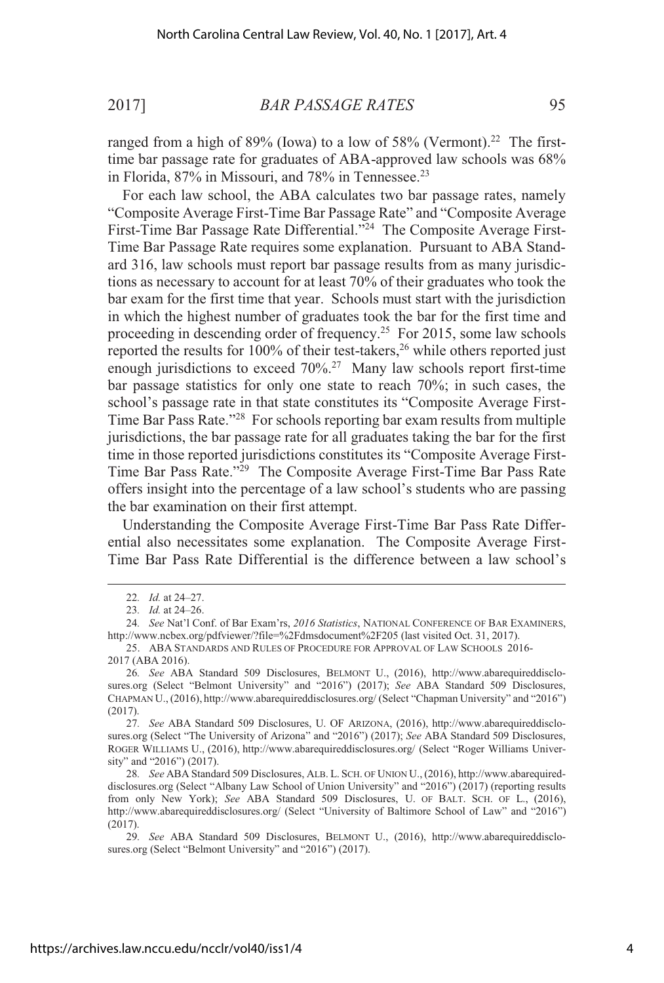ranged from a high of  $89\%$  (Iowa) to a low of  $58\%$  (Vermont).<sup>22</sup> The firsttime bar passage rate for graduates of ABA-approved law schools was 68% in Florida,  $87\%$  in Missouri, and  $78\%$  in Tennessee.<sup>23</sup>

For each law school, the ABA calculates two bar passage rates, namely "Composite Average First-Time Bar Passage Rate" and "Composite Average First-Time Bar Passage Rate Differential."<sup>24</sup> The Composite Average First-Time Bar Passage Rate requires some explanation. Pursuant to ABA Standard 316, law schools must report bar passage results from as many jurisdictions as necessary to account for at least 70% of their graduates who took the bar exam for the first time that year. Schools must start with the jurisdiction in which the highest number of graduates took the bar for the first time and proceeding in descending order of frequency.<sup>25</sup> For 2015, some law schools reported the results for  $100\%$  of their test-takers,<sup>26</sup> while others reported just enough jurisdictions to exceed 70%.<sup>27</sup> Many law schools report first-time bar passage statistics for only one state to reach 70%; in such cases, the school's passage rate in that state constitutes its "Composite Average First-Time Bar Pass Rate."<sup>28</sup> For schools reporting bar exam results from multiple jurisdictions, the bar passage rate for all graduates taking the bar for the first time in those reported jurisdictions constitutes its "Composite Average First-Time Bar Pass Rate."<sup>29</sup> The Composite Average First-Time Bar Pass Rate offers insight into the percentage of a law school's students who are passing the bar examination on their first attempt.

Understanding the Composite Average First-Time Bar Pass Rate Differential also necessitates some explanation. The Composite Average First-Time Bar Pass Rate Differential is the difference between a law school's

<sup>22</sup>*. Id.* at 24–27.

<sup>23</sup>*. Id.* at 24–26.

<sup>24</sup>*. See* Nat'l Conf. of Bar Exam'rs, *2016 Statistics*, NATIONAL CONFERENCE OF BAR EXAMINERS, http://www.ncbex.org/pdfviewer/?file=%2Fdmsdocument%2F205 (last visited Oct. 31, 2017).

<sup>25.</sup> ABA STANDARDS AND RULES OF PROCEDURE FOR APPROVAL OF LAW SCHOOLS 2016- 2017 (ABA 2016).

<sup>26</sup>*. See* ABA Standard 509 Disclosures, BELMONT U., (2016), http://www.abarequireddisclosures.org (Select "Belmont University" and "2016") (2017); *See* ABA Standard 509 Disclosures, CHAPMAN U., (2016), http://www.abarequireddisclosures.org/ (Select "Chapman University" and "2016") (2017).

<sup>27</sup>*. See* ABA Standard 509 Disclosures, U. OF ARIZONA, (2016), http://www.abarequireddisclosures.org (Select "The University of Arizona" and "2016") (2017); *See* ABA Standard 509 Disclosures, ROGER WILLIAMS U., (2016), http://www.abarequireddisclosures.org/ (Select "Roger Williams University" and "2016") (2017).

<sup>28</sup>*. See* ABA Standard 509 Disclosures, ALB. L. SCH. OF UNION U., (2016), http://www.abarequireddisclosures.org (Select "Albany Law School of Union University" and "2016") (2017) (reporting results from only New York); *See* ABA Standard 509 Disclosures, U. OF BALT. SCH. OF L., (2016), http://www.abarequireddisclosures.org/ (Select "University of Baltimore School of Law" and "2016") (2017).

<sup>29</sup>*. See* ABA Standard 509 Disclosures, BELMONT U., (2016), http://www.abarequireddisclosures.org (Select "Belmont University" and "2016") (2017).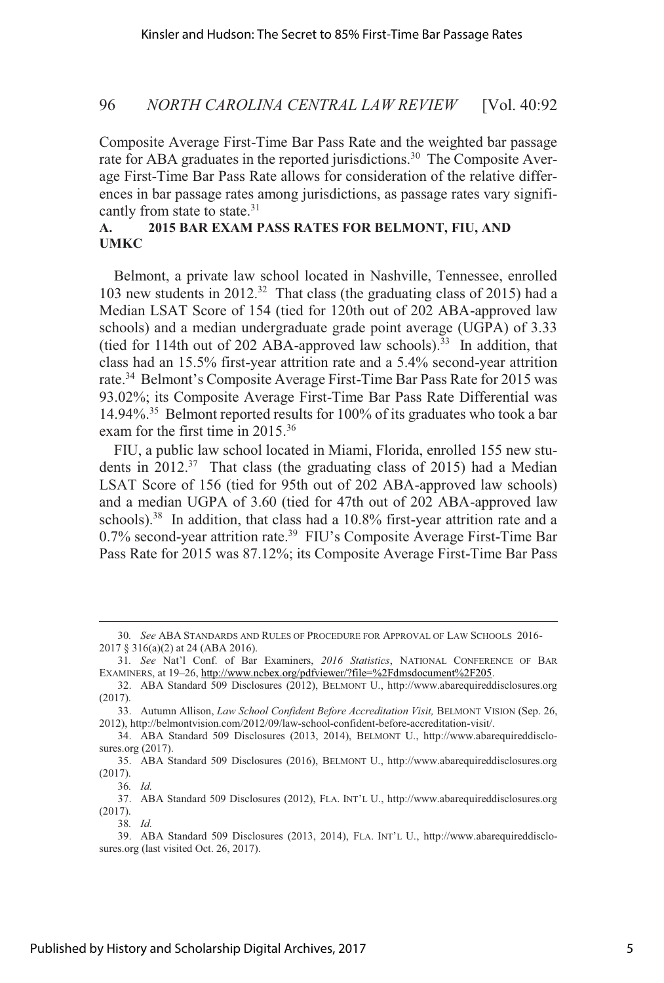Composite Average First-Time Bar Pass Rate and the weighted bar passage rate for ABA graduates in the reported jurisdictions.<sup>30</sup> The Composite Average First-Time Bar Pass Rate allows for consideration of the relative differences in bar passage rates among jurisdictions, as passage rates vary significantly from state to state.<sup>31</sup>

## **A. 2015 BAR EXAM PASS RATES FOR BELMONT, FIU, AND UMKC**

Belmont, a private law school located in Nashville, Tennessee, enrolled 103 new students in 2012.<sup>32</sup> That class (the graduating class of 2015) had a Median LSAT Score of 154 (tied for 120th out of 202 ABA-approved law schools) and a median undergraduate grade point average (UGPA) of 3.33 (tied for 114th out of 202 ABA-approved law schools).<sup>33</sup> In addition, that class had an 15.5% first-year attrition rate and a 5.4% second-year attrition rate.<sup>34</sup> Belmont's Composite Average First-Time Bar Pass Rate for 2015 was 93.02%; its Composite Average First-Time Bar Pass Rate Differential was 14.94%.<sup>35</sup> Belmont reported results for 100% of its graduates who took a bar exam for the first time in 2015.<sup>36</sup>

FIU, a public law school located in Miami, Florida, enrolled 155 new students in  $2012<sup>37</sup>$  That class (the graduating class of 2015) had a Median LSAT Score of 156 (tied for 95th out of 202 ABA-approved law schools) and a median UGPA of 3.60 (tied for 47th out of 202 ABA-approved law schools).<sup>38</sup> In addition, that class had a  $10.8\%$  first-year attrition rate and a 0.7% second-year attrition rate.<sup>39</sup> FIU's Composite Average First-Time Bar Pass Rate for 2015 was 87.12%; its Composite Average First-Time Bar Pass

36*. Id.*

38*. Id.*

<sup>30</sup>*. See* ABA STANDARDS AND RULES OF PROCEDURE FOR APPROVAL OF LAW SCHOOLS 2016- 2017 § 316(a)(2) at 24 (ABA 2016).

<sup>31</sup>*. See* Nat'l Conf. of Bar Examiners, *2016 Statistics*, NATIONAL CONFERENCE OF BAR EXAMINERS, at 19-26, http://www.ncbex.org/pdfviewer/?file=%2Fdmsdocument%2F205.

<sup>32.</sup> ABA Standard 509 Disclosures (2012), BELMONT U., http://www.abarequireddisclosures.org (2017).

<sup>33.</sup> Autumn Allison, *Law School Confident Before Accreditation Visit,* BELMONT VISION (Sep. 26, 2012), http://belmontvision.com/2012/09/law-school-confident-before-accreditation-visit/.

<sup>34.</sup> ABA Standard 509 Disclosures (2013, 2014), BELMONT U., http://www.abarequireddisclosures.org (2017).

<sup>35.</sup> ABA Standard 509 Disclosures (2016), BELMONT U., http://www.abarequireddisclosures.org (2017).

<sup>37.</sup> ABA Standard 509 Disclosures (2012), FLA. INT'L U., http://www.abarequireddisclosures.org (2017).

<sup>39.</sup> ABA Standard 509 Disclosures (2013, 2014), FLA. INT'L U., http://www.abarequireddisclosures.org (last visited Oct. 26, 2017).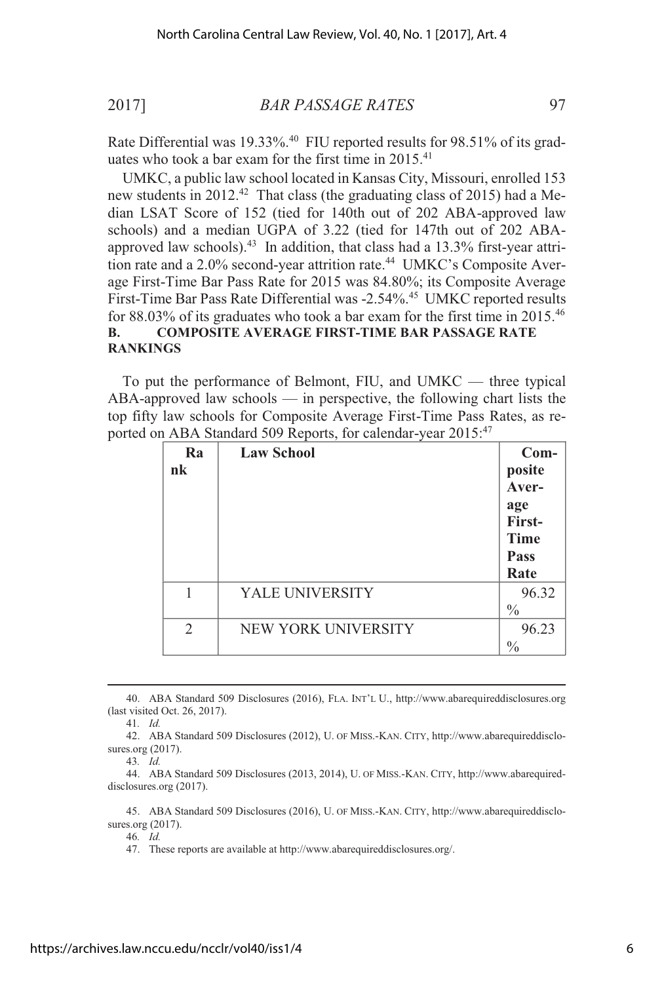Rate Differential was 19.33%.<sup>40</sup> FIU reported results for 98.51% of its graduates who took a bar exam for the first time in 2015.<sup>41</sup>

UMKC, a public law school located in Kansas City, Missouri, enrolled 153 new students in 2012.<sup>42</sup> That class (the graduating class of 2015) had a Median LSAT Score of 152 (tied for 140th out of 202 ABA-approved law schools) and a median UGPA of 3.22 (tied for 147th out of 202 ABAapproved law schools).<sup>43</sup> In addition, that class had a  $13.3\%$  first-year attrition rate and a 2.0% second-year attrition rate.<sup>44</sup> UMKC's Composite Average First-Time Bar Pass Rate for 2015 was 84.80%; its Composite Average First-Time Bar Pass Rate Differential was -2.54%.<sup>45</sup> UMKC reported results for 88.03% of its graduates who took a bar exam for the first time in 2015.<sup>46</sup> **B. COMPOSITE AVERAGE FIRST-TIME BAR PASSAGE RATE RANKINGS**

To put the performance of Belmont, FIU, and UMKC — three typical ABA-approved law schools — in perspective, the following chart lists the top fifty law schools for Composite Average First-Time Pass Rates, as reported on ABA Standard 509 Reports, for calendar-year 2015:<sup>47</sup>

| Ra<br>nk       | <b>Law School</b>   | Com-<br>posite<br>Aver-<br>age<br>First-<br><b>Time</b><br><b>Pass</b><br>Rate |
|----------------|---------------------|--------------------------------------------------------------------------------|
|                | YALE UNIVERSITY     | 96.32<br>$\frac{0}{0}$                                                         |
| $\overline{2}$ | NEW YORK UNIVERSITY | 96.23<br>$\frac{0}{0}$                                                         |

<sup>40.</sup> ABA Standard 509 Disclosures (2016), FLA. INT'L U., http://www.abarequireddisclosures.org (last visited Oct. 26, 2017).

41*. Id.*

43*. Id.*

46*. Id.*

47. These reports are available at http://www.abarequireddisclosures.org/.

<sup>42.</sup> ABA Standard 509 Disclosures (2012), U. OF MISS.-KAN. CITY, http://www.abarequireddisclosures.org (2017).

<sup>44.</sup> ABA Standard 509 Disclosures (2013, 2014), U. OF MISS.-KAN. CITY, http://www.abarequireddisclosures.org (2017).

<sup>45.</sup> ABA Standard 509 Disclosures (2016), U. OF MISS.-KAN. CITY, http://www.abarequireddisclosures.org (2017).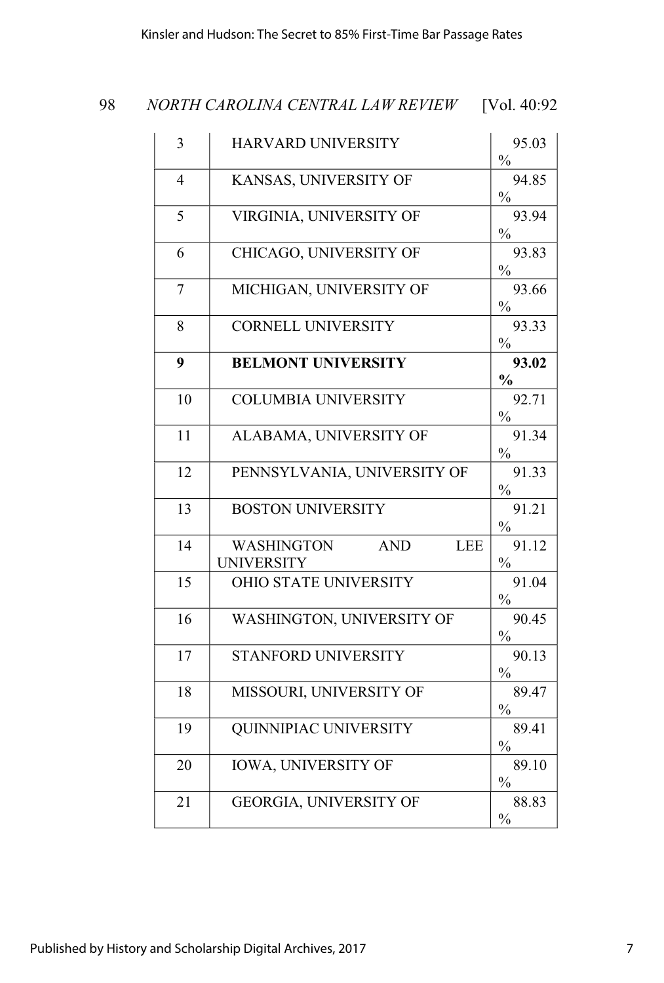| 3              | HARVARD UNIVERSITY                                                 | 95.03<br>$\frac{0}{0}$ |
|----------------|--------------------------------------------------------------------|------------------------|
| $\overline{4}$ | KANSAS, UNIVERSITY OF                                              | 94.85<br>$\frac{0}{0}$ |
| 5              | VIRGINIA, UNIVERSITY OF                                            | 93.94<br>$\frac{0}{0}$ |
| 6              | CHICAGO, UNIVERSITY OF                                             | 93.83<br>$\frac{0}{0}$ |
| $\overline{7}$ | MICHIGAN, UNIVERSITY OF                                            | 93.66<br>$\%$          |
| 8              | <b>CORNELL UNIVERSITY</b>                                          | 93.33<br>$\frac{0}{0}$ |
| 9              | <b>BELMONT UNIVERSITY</b>                                          | 93.02<br>$\frac{1}{2}$ |
| 10             | <b>COLUMBIA UNIVERSITY</b>                                         | 92.71<br>$\frac{0}{0}$ |
| 11             | ALABAMA, UNIVERSITY OF                                             | 91.34<br>$\frac{0}{0}$ |
| 12             | PENNSYLVANIA, UNIVERSITY OF                                        | 91.33<br>$\frac{0}{0}$ |
| 13             | <b>BOSTON UNIVERSITY</b>                                           | 91.21<br>$\%$          |
| 14             | <b>LEE</b><br><b>AND</b><br><b>WASHINGTON</b><br><b>UNIVERSITY</b> | 91.12<br>$\%$          |
| 15             | OHIO STATE UNIVERSITY                                              | 91.04<br>$\frac{0}{0}$ |
| 16             | WASHINGTON, UNIVERSITY OF                                          | 90.45<br>$\frac{0}{0}$ |
| 17             | STANFORD UNIVERSITY                                                | 90.13<br>$\frac{0}{0}$ |
| 18             | MISSOURI, UNIVERSITY OF                                            | 89.47<br>$\frac{0}{0}$ |
| 19             | QUINNIPIAC UNIVERSITY                                              | 89.41<br>$\frac{0}{0}$ |
| 20             | <b>IOWA, UNIVERSITY OF</b>                                         | 89.10<br>$\frac{0}{0}$ |
| 21             | GEORGIA, UNIVERSITY OF                                             | 88.83<br>$\frac{0}{0}$ |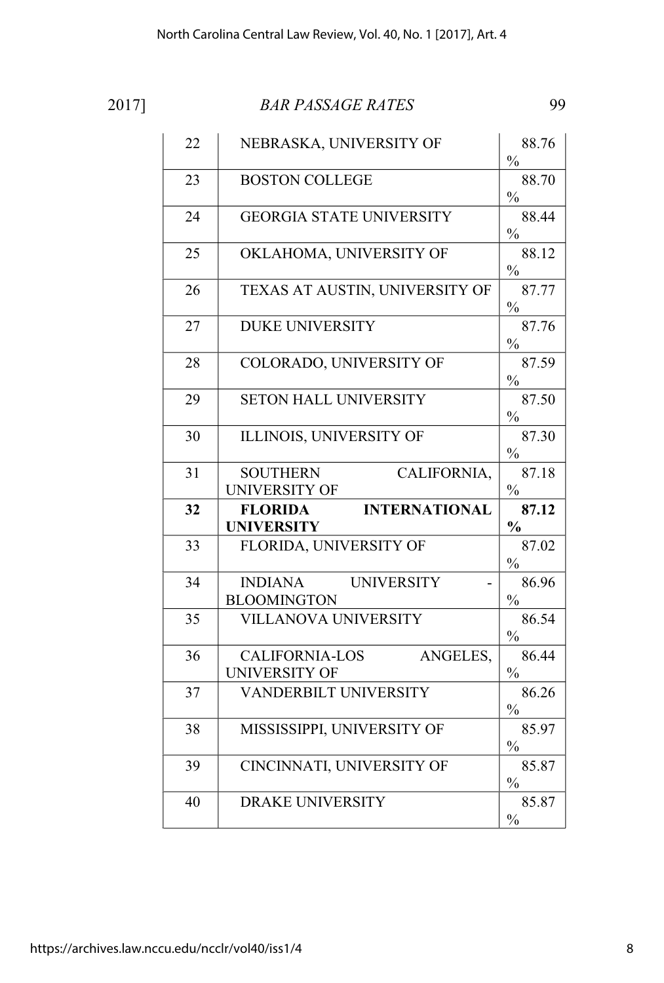|--|--|

| 22 | NEBRASKA, UNIVERSITY OF                                   | 88.76                                   |
|----|-----------------------------------------------------------|-----------------------------------------|
|    |                                                           | $\frac{0}{0}$                           |
| 23 | <b>BOSTON COLLEGE</b>                                     | 88.70<br>$\frac{0}{0}$                  |
| 24 | <b>GEORGIA STATE UNIVERSITY</b>                           | 88.44<br>$\frac{0}{0}$                  |
| 25 | OKLAHOMA, UNIVERSITY OF                                   | 88.12<br>$\frac{0}{0}$                  |
| 26 | TEXAS AT AUSTIN, UNIVERSITY OF                            | 87.77<br>$\frac{0}{0}$                  |
| 27 | <b>DUKE UNIVERSITY</b>                                    | 87.76<br>$\frac{0}{0}$                  |
| 28 | COLORADO, UNIVERSITY OF                                   | 87.59<br>$\frac{0}{0}$                  |
| 29 | <b>SETON HALL UNIVERSITY</b>                              | 87.50<br>$\frac{0}{0}$                  |
| 30 | ILLINOIS, UNIVERSITY OF                                   | 87.30<br>$\frac{0}{0}$                  |
| 31 | <b>SOUTHERN</b><br>CALIFORNIA,<br>UNIVERSITY OF           | 87.18<br>$\frac{0}{0}$                  |
|    |                                                           |                                         |
| 32 | FLORIDA INTERNATIONAL<br><b>UNIVERSITY</b>                | 87.12<br>$\frac{0}{0}$                  |
| 33 | FLORIDA, UNIVERSITY OF                                    | 87.02                                   |
| 34 | INDIANA UNIVERSITY<br><b>BLOOMINGTON</b>                  | $\%$<br>86.96<br>$\frac{0}{0}$          |
| 35 | <b>VILLANOVA UNIVERSITY</b>                               | 86.54<br>$\frac{0}{0}$                  |
| 36 | <b>CALIFORNIA-LOS</b><br>ANGELES,<br><b>UNIVERSITY OF</b> | 86.44<br>$\frac{0}{0}$                  |
| 37 | <b>VANDERBILT UNIVERSITY</b>                              | 86.26                                   |
| 38 | MISSISSIPPI, UNIVERSITY OF                                | $\frac{0}{0}$<br>85.97                  |
| 39 | CINCINNATI, UNIVERSITY OF                                 | $\frac{0}{0}$<br>85.87                  |
| 40 | <b>DRAKE UNIVERSITY</b>                                   | $\frac{0}{0}$<br>85.87<br>$\frac{0}{0}$ |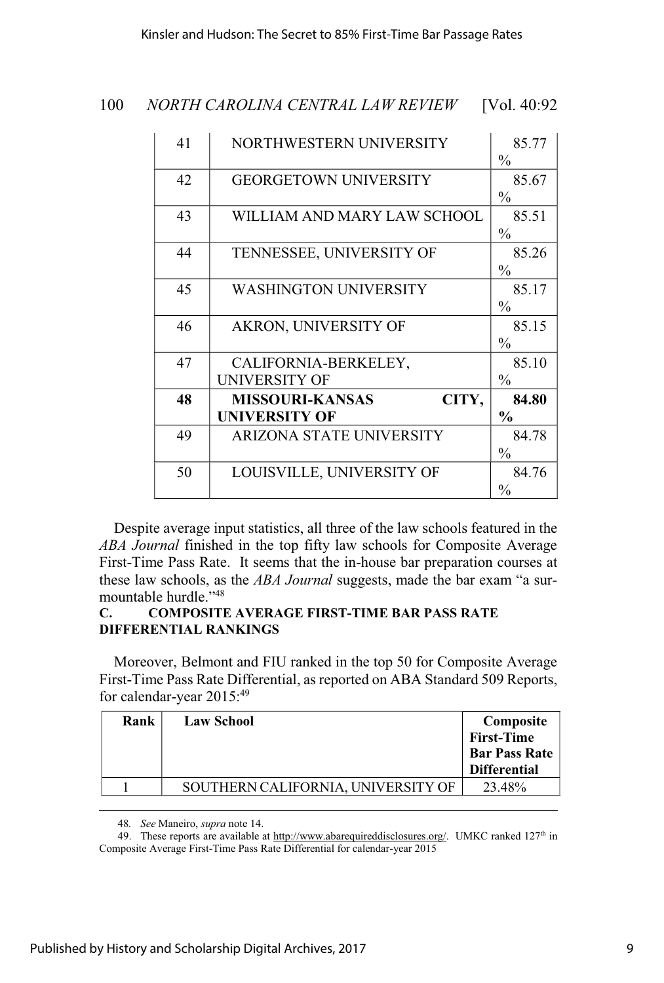Kinsler and Hudson: The Secret to 85% First-Time Bar Passage Rates

| 100 |  | NORTH CAROLINA CENTRAL LAW REVIEW | [Vol. $40:92$ |
|-----|--|-----------------------------------|---------------|
|-----|--|-----------------------------------|---------------|

| 41 | NORTHWESTERN UNIVERSITY                                 | 85.77<br>$\frac{0}{0}$ |
|----|---------------------------------------------------------|------------------------|
| 42 | <b>GEORGETOWN UNIVERSITY</b>                            | 85.67<br>$\frac{0}{0}$ |
| 43 | WILLIAM AND MARY LAW SCHOOL                             | 85.51<br>$\frac{0}{0}$ |
| 44 | TENNESSEE, UNIVERSITY OF                                | 85.26<br>$\frac{0}{0}$ |
| 45 | <b>WASHINGTON UNIVERSITY</b>                            | 85.17<br>$\frac{0}{0}$ |
| 46 | AKRON, UNIVERSITY OF                                    | 85.15<br>$\frac{0}{0}$ |
| 47 | CALIFORNIA-BERKELEY,<br>UNIVERSITY OF                   | 85.10<br>$\frac{0}{0}$ |
| 48 | CITY,<br><b>MISSOURI-KANSAS</b><br><b>UNIVERSITY OF</b> | 84.80<br>$\frac{0}{0}$ |
| 49 | ARIZONA STATE UNIVERSITY                                | 84.78<br>$\frac{0}{0}$ |
| 50 | LOUISVILLE, UNIVERSITY OF                               | 84.76<br>$\frac{0}{0}$ |

Despite average input statistics, all three of the law schools featured in the *ABA Journal* finished in the top fifty law schools for Composite Average First-Time Pass Rate. It seems that the in-house bar preparation courses at these law schools, as the *ABA Journal* suggests, made the bar exam "a surmountable hurdle."<sup>48</sup>

### **C. COMPOSITE AVERAGE FIRST-TIME BAR PASS RATE DIFFERENTIAL RANKINGS**

Moreover, Belmont and FIU ranked in the top 50 for Composite Average First-Time Pass Rate Differential, as reported on ABA Standard 509 Reports, for calendar-year 2015:<sup>49</sup>

| Rank | <b>Law School</b>                  | Composite<br>First-Time<br><b>Bar Pass Rate</b><br><b>Differential</b> |
|------|------------------------------------|------------------------------------------------------------------------|
|      | SOUTHERN CALIFORNIA, UNIVERSITY OF | 23.48%                                                                 |
|      |                                    |                                                                        |

48*. See* Maneiro, *supra* note 14.

49. These reports are available at http://www.abarequireddisclosures.org/. UMKC ranked  $127<sup>th</sup>$  in Composite Average First-Time Pass Rate Differential for calendar-year 2015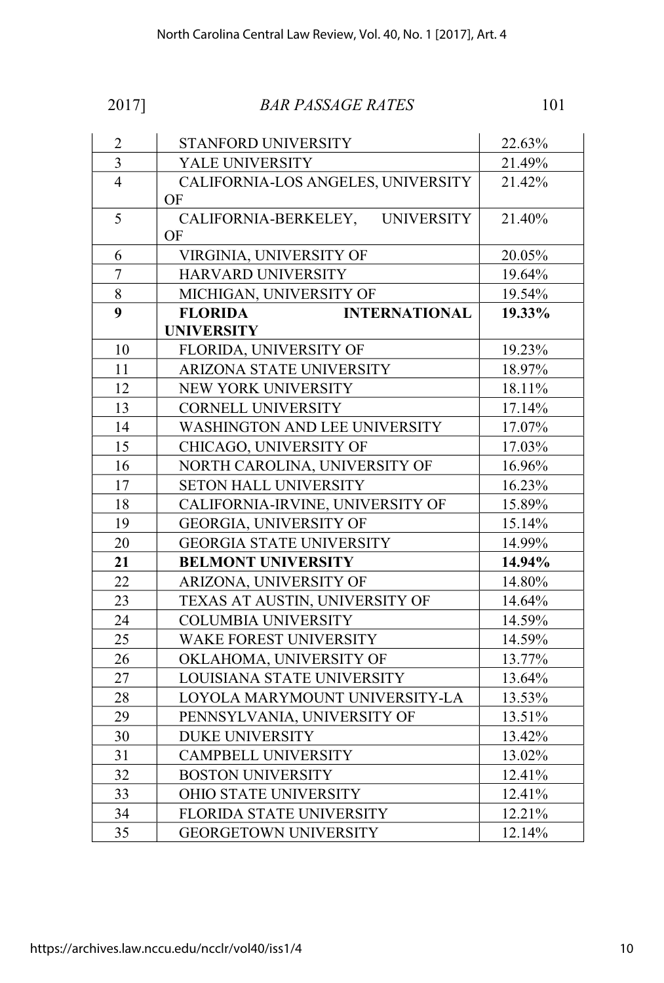| I |  |  |
|---|--|--|

| $\overline{c}$ | STANFORD UNIVERSITY                             | 22.63% |
|----------------|-------------------------------------------------|--------|
| $\overline{3}$ | YALE UNIVERSITY                                 | 21.49% |
| $\overline{4}$ | CALIFORNIA-LOS ANGELES, UNIVERSITY<br>OF        | 21.42% |
| 5              | CALIFORNIA-BERKELEY,<br><b>UNIVERSITY</b><br>OF | 21.40% |
| 6              | VIRGINIA, UNIVERSITY OF                         | 20.05% |
| $\overline{7}$ | HARVARD UNIVERSITY                              | 19.64% |
| 8              | MICHIGAN, UNIVERSITY OF                         | 19.54% |
| 9              | <b>FLORIDA</b><br><b>INTERNATIONAL</b>          | 19.33% |
|                | <b>UNIVERSITY</b>                               |        |
| 10             | FLORIDA, UNIVERSITY OF                          | 19.23% |
| 11             | ARIZONA STATE UNIVERSITY                        | 18.97% |
| 12             | NEW YORK UNIVERSITY                             | 18.11% |
| 13             | <b>CORNELL UNIVERSITY</b>                       | 17.14% |
| 14             | WASHINGTON AND LEE UNIVERSITY                   | 17.07% |
| 15             | CHICAGO, UNIVERSITY OF                          | 17.03% |
| 16             | NORTH CAROLINA, UNIVERSITY OF                   | 16.96% |
| 17             | SETON HALL UNIVERSITY                           | 16.23% |
| 18             | CALIFORNIA-IRVINE, UNIVERSITY OF                | 15.89% |
| 19             | GEORGIA, UNIVERSITY OF                          | 15.14% |
| 20             | <b>GEORGIA STATE UNIVERSITY</b>                 | 14.99% |
| 21             | <b>BELMONT UNIVERSITY</b>                       | 14.94% |
| 22             | ARIZONA, UNIVERSITY OF                          | 14.80% |
| 23             | TEXAS AT AUSTIN, UNIVERSITY OF                  | 14.64% |
| 24             | <b>COLUMBIA UNIVERSITY</b>                      | 14.59% |
| 25             | WAKE FOREST UNIVERSITY                          | 14.59% |
| 26             | OKLAHOMA, UNIVERSITY OF                         | 13.77% |
| 27             | LOUISIANA STATE UNIVERSITY                      | 13.64% |
| 28             | LOYOLA MARYMOUNT UNIVERSITY-LA<br>13.53%        |        |
| 29             | PENNSYLVANIA, UNIVERSITY OF<br>13.51%           |        |
| 30             | <b>DUKE UNIVERSITY</b>                          | 13.42% |
| 31             | <b>CAMPBELL UNIVERSITY</b>                      | 13.02% |
| 32             | <b>BOSTON UNIVERSITY</b>                        | 12.41% |
| 33             | OHIO STATE UNIVERSITY                           | 12.41% |
| 34             | FLORIDA STATE UNIVERSITY                        | 12.21% |
| 35             | <b>GEORGETOWN UNIVERSITY</b>                    | 12.14% |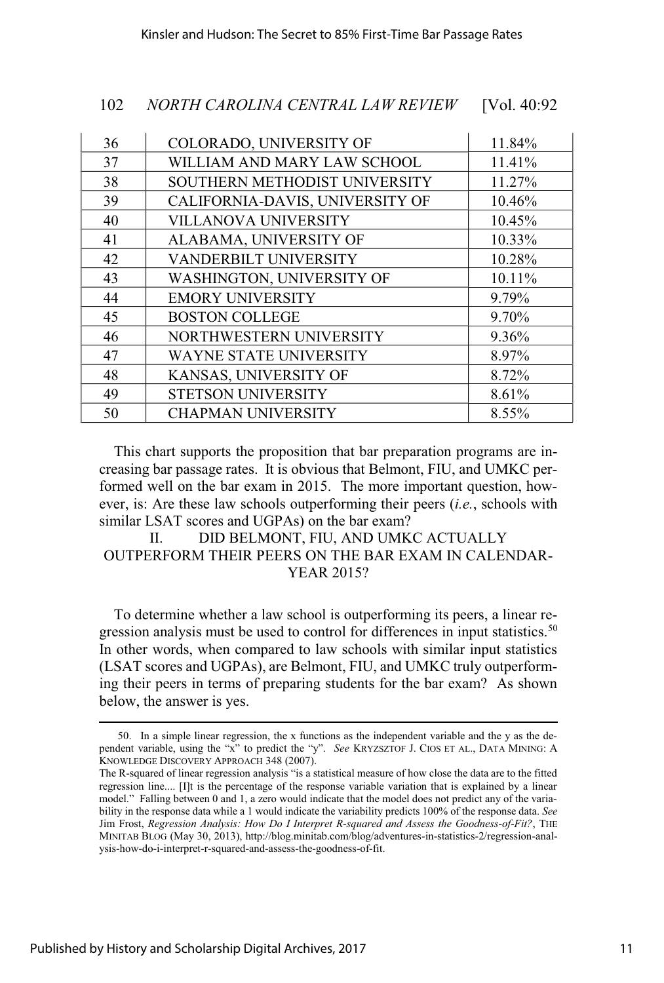| 36 | COLORADO, UNIVERSITY OF         | 11.84% |
|----|---------------------------------|--------|
| 37 | WILLIAM AND MARY LAW SCHOOL     | 11.41% |
| 38 | SOUTHERN METHODIST UNIVERSITY   | 11.27% |
| 39 | CALIFORNIA-DAVIS, UNIVERSITY OF | 10.46% |
| 40 | VILLANOVA UNIVERSITY            | 10.45% |
| 41 | ALABAMA, UNIVERSITY OF          | 10.33% |
| 42 | VANDERBILT UNIVERSITY           | 10.28% |
| 43 | WASHINGTON, UNIVERSITY OF       | 10.11% |
| 44 | <b>EMORY UNIVERSITY</b>         | 9.79%  |
| 45 | <b>BOSTON COLLEGE</b>           | 9.70%  |
| 46 | NORTHWESTERN UNIVERSITY         | 9.36%  |
| 47 | <b>WAYNE STATE UNIVERSITY</b>   | 8.97%  |
| 48 | KANSAS, UNIVERSITY OF           | 8.72%  |
| 49 | STETSON UNIVERSITY              | 8.61%  |
| 50 | <b>CHAPMAN UNIVERSITY</b>       | 8.55%  |

This chart supports the proposition that bar preparation programs are increasing bar passage rates. It is obvious that Belmont, FIU, and UMKC performed well on the bar exam in 2015. The more important question, however, is: Are these law schools outperforming their peers (*i.e.*, schools with similar LSAT scores and UGPAs) on the bar exam?

II. DID BELMONT, FIU, AND UMKC ACTUALLY OUTPERFORM THEIR PEERS ON THE BAR EXAM IN CALENDAR-YEAR 2015?

To determine whether a law school is outperforming its peers, a linear regression analysis must be used to control for differences in input statistics.<sup>50</sup> In other words, when compared to law schools with similar input statistics (LSAT scores and UGPAs), are Belmont, FIU, and UMKC truly outperforming their peers in terms of preparing students for the bar exam? As shown below, the answer is yes.

<sup>50.</sup> In a simple linear regression, the x functions as the independent variable and the y as the dependent variable, using the "x" to predict the "y". *See* KRYZSZTOF J. CIOS ET AL., DATA MINING: A KNOWLEDGE DISCOVERY APPROACH 348 (2007).

The R-squared of linear regression analysis "is a statistical measure of how close the data are to the fitted regression line.... [I]t is the percentage of the response variable variation that is explained by a linear model." Falling between 0 and 1, a zero would indicate that the model does not predict any of the variability in the response data while a 1 would indicate the variability predicts 100% of the response data. *See* Jim Frost, *Regression Analysis: How Do I Interpret R-squared and Assess the Goodness-of-Fit?*, THE MINITAB BLOG (May 30, 2013), http://blog.minitab.com/blog/adventures-in-statistics-2/regression-analysis-how-do-i-interpret-r-squared-and-assess-the-goodness-of-fit.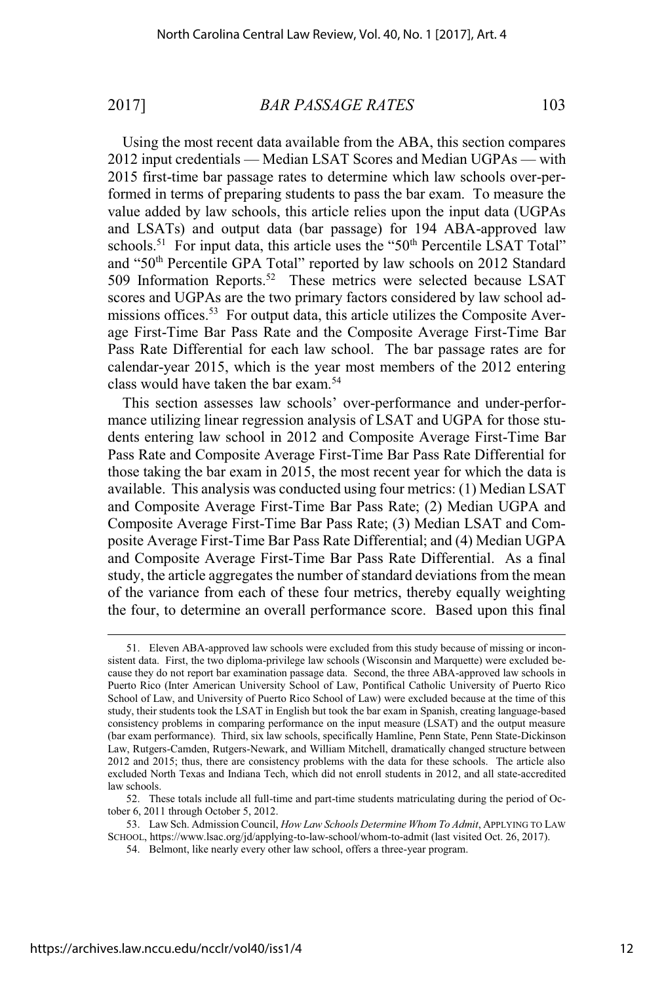Using the most recent data available from the ABA, this section compares 2012 input credentials — Median LSAT Scores and Median UGPAs — with 2015 first-time bar passage rates to determine which law schools over-performed in terms of preparing students to pass the bar exam. To measure the value added by law schools, this article relies upon the input data (UGPAs and LSATs) and output data (bar passage) for 194 ABA-approved law schools.<sup>51</sup> For input data, this article uses the " $50<sup>th</sup>$  Percentile LSAT Total" and "50<sup>th</sup> Percentile GPA Total" reported by law schools on 2012 Standard 509 Information Reports.<sup>52</sup> These metrics were selected because LSAT scores and UGPAs are the two primary factors considered by law school admissions offices.<sup>53</sup> For output data, this article utilizes the Composite Average First-Time Bar Pass Rate and the Composite Average First-Time Bar Pass Rate Differential for each law school. The bar passage rates are for calendar-year 2015, which is the year most members of the 2012 entering class would have taken the bar exam.<sup>54</sup>

This section assesses law schools' over-performance and under-performance utilizing linear regression analysis of LSAT and UGPA for those students entering law school in 2012 and Composite Average First-Time Bar Pass Rate and Composite Average First-Time Bar Pass Rate Differential for those taking the bar exam in 2015, the most recent year for which the data is available. This analysis was conducted using four metrics: (1) Median LSAT and Composite Average First-Time Bar Pass Rate; (2) Median UGPA and Composite Average First-Time Bar Pass Rate; (3) Median LSAT and Composite Average First-Time Bar Pass Rate Differential; and (4) Median UGPA and Composite Average First-Time Bar Pass Rate Differential. As a final study, the article aggregates the number of standard deviations from the mean of the variance from each of these four metrics, thereby equally weighting the four, to determine an overall performance score. Based upon this final

<sup>51.</sup> Eleven ABA-approved law schools were excluded from this study because of missing or inconsistent data. First, the two diploma-privilege law schools (Wisconsin and Marquette) were excluded because they do not report bar examination passage data. Second, the three ABA-approved law schools in Puerto Rico (Inter American University School of Law, Pontifical Catholic University of Puerto Rico School of Law, and University of Puerto Rico School of Law) were excluded because at the time of this study, their students took the LSAT in English but took the bar exam in Spanish, creating language-based consistency problems in comparing performance on the input measure (LSAT) and the output measure (bar exam performance). Third, six law schools, specifically Hamline, Penn State, Penn State-Dickinson Law, Rutgers-Camden, Rutgers-Newark, and William Mitchell, dramatically changed structure between 2012 and 2015; thus, there are consistency problems with the data for these schools. The article also excluded North Texas and Indiana Tech, which did not enroll students in 2012, and all state-accredited law schools.

<sup>52.</sup> These totals include all full-time and part-time students matriculating during the period of October 6, 2011 through October 5, 2012.

<sup>53.</sup> Law Sch. Admission Council, *How Law Schools Determine Whom To Admit*, APPLYING TO LAW SCHOOL, https://www.lsac.org/jd/applying-to-law-school/whom-to-admit (last visited Oct. 26, 2017).

<sup>54.</sup> Belmont, like nearly every other law school, offers a three-year program.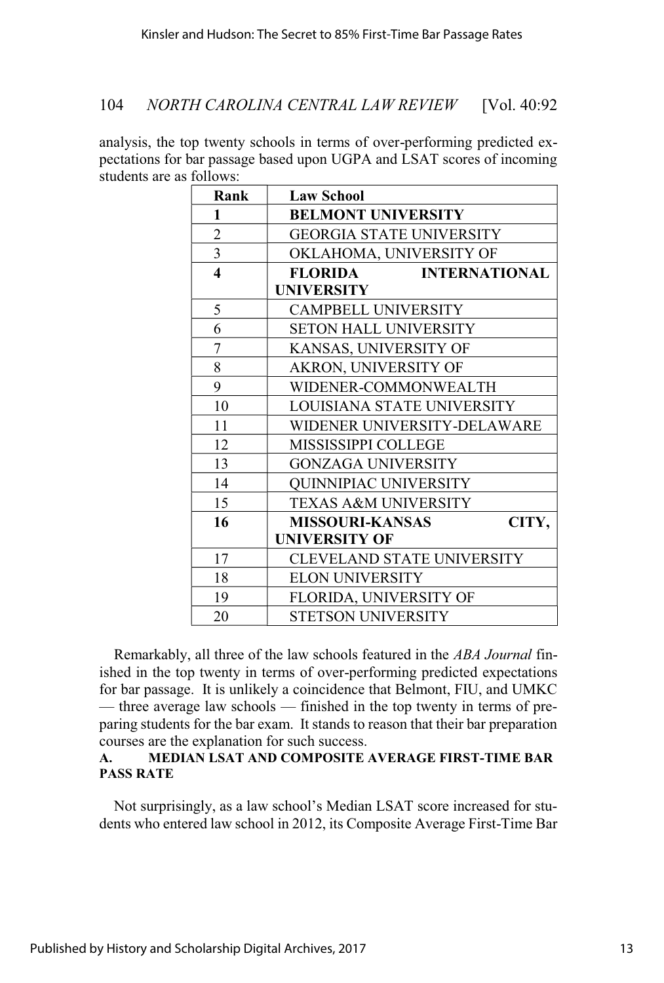analysis, the top twenty schools in terms of over-performing predicted expectations for bar passage based upon UGPA and LSAT scores of incoming students are as follows:

| Rank                    | <b>Law School</b>                      |
|-------------------------|----------------------------------------|
| 1                       | <b>BELMONT UNIVERSITY</b>              |
| $\overline{2}$          | <b>GEORGIA STATE UNIVERSITY</b>        |
| $\overline{3}$          | OKLAHOMA, UNIVERSITY OF                |
| $\overline{\mathbf{4}}$ | <b>FLORIDA</b><br><b>INTERNATIONAL</b> |
|                         | <b>UNIVERSITY</b>                      |
| 5                       | <b>CAMPBELL UNIVERSITY</b>             |
| 6                       | <b>SETON HALL UNIVERSITY</b>           |
| 7                       | KANSAS, UNIVERSITY OF                  |
| 8                       | AKRON, UNIVERSITY OF                   |
| 9                       | WIDENER-COMMONWEALTH                   |
| 10                      | LOUISIANA STATE UNIVERSITY             |
| 11                      | WIDENER UNIVERSITY-DELAWARE            |
| 12                      | MISSISSIPPI COLLEGE                    |
| 13                      | <b>GONZAGA UNIVERSITY</b>              |
| 14                      | <b>QUINNIPIAC UNIVERSITY</b>           |
| 15                      | TEXAS A&M UNIVERSITY                   |
| 16                      | <b>MISSOURI-KANSAS</b><br>CITY,        |
|                         | <b>UNIVERSITY OF</b>                   |
| 17                      | <b>CLEVELAND STATE UNIVERSITY</b>      |
| 18                      | <b>ELON UNIVERSITY</b>                 |
| 19                      | FLORIDA, UNIVERSITY OF                 |
| 20                      | STETSON UNIVERSITY                     |

Remarkably, all three of the law schools featured in the *ABA Journal* finished in the top twenty in terms of over-performing predicted expectations for bar passage. It is unlikely a coincidence that Belmont, FIU, and UMKC — three average law schools — finished in the top twenty in terms of preparing students for the bar exam. It stands to reason that their bar preparation courses are the explanation for such success.

### **A. MEDIAN LSAT AND COMPOSITE AVERAGE FIRST-TIME BAR PASS RATE**

Not surprisingly, as a law school's Median LSAT score increased for students who entered law school in 2012, its Composite Average First-Time Bar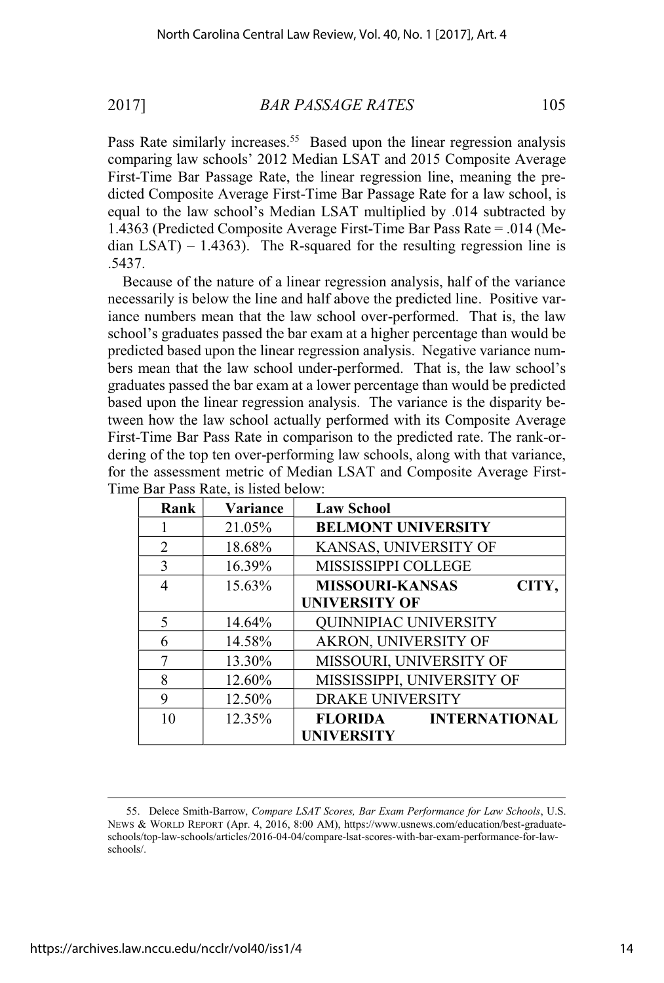Pass Rate similarly increases.<sup>55</sup> Based upon the linear regression analysis comparing law schools' 2012 Median LSAT and 2015 Composite Average First-Time Bar Passage Rate, the linear regression line, meaning the predicted Composite Average First-Time Bar Passage Rate for a law school, is equal to the law school's Median LSAT multiplied by .014 subtracted by 1.4363 (Predicted Composite Average First-Time Bar Pass Rate = .014 (Median  $LSAT$ ) – 1.4363). The R-squared for the resulting regression line is .5437.

Because of the nature of a linear regression analysis, half of the variance necessarily is below the line and half above the predicted line. Positive variance numbers mean that the law school over-performed. That is, the law school's graduates passed the bar exam at a higher percentage than would be predicted based upon the linear regression analysis. Negative variance numbers mean that the law school under-performed. That is, the law school's graduates passed the bar exam at a lower percentage than would be predicted based upon the linear regression analysis. The variance is the disparity between how the law school actually performed with its Composite Average First-Time Bar Pass Rate in comparison to the predicted rate. The rank-ordering of the top ten over-performing law schools, along with that variance, for the assessment metric of Median LSAT and Composite Average First-Time Bar Pass Rate, is listed below:

| Rank | <b>Variance</b> | <b>Law School</b>               |
|------|-----------------|---------------------------------|
|      | 21.05%          | <b>BELMONT UNIVERSITY</b>       |
| 2    | 18.68%          | KANSAS, UNIVERSITY OF           |
| 3    | 16.39%          | MISSISSIPPI COLLEGE             |
| 4    | 15.63%          | <b>MISSOURI-KANSAS</b><br>CITY, |
|      |                 | <b>UNIVERSITY OF</b>            |
| 5    | 14.64%          | <b>QUINNIPIAC UNIVERSITY</b>    |
| 6    | 14.58%          | AKRON, UNIVERSITY OF            |
| 7    | 13.30%          | MISSOURI, UNIVERSITY OF         |
| 8    | 12.60%          | MISSISSIPPI, UNIVERSITY OF      |
| 9    | 12.50%          | <b>DRAKE UNIVERSITY</b>         |
| 10   | 12.35%          | FLORIDA<br><b>INTERNATIONAL</b> |
|      |                 | <b>UNIVERSITY</b>               |

<sup>55.</sup> Delece Smith-Barrow, *Compare LSAT Scores, Bar Exam Performance for Law Schools*, U.S. NEWS & WORLD REPORT (Apr. 4, 2016, 8:00 AM), https://www.usnews.com/education/best-graduateschools/top-law-schools/articles/2016-04-04/compare-lsat-scores-with-bar-exam-performance-for-lawschools/.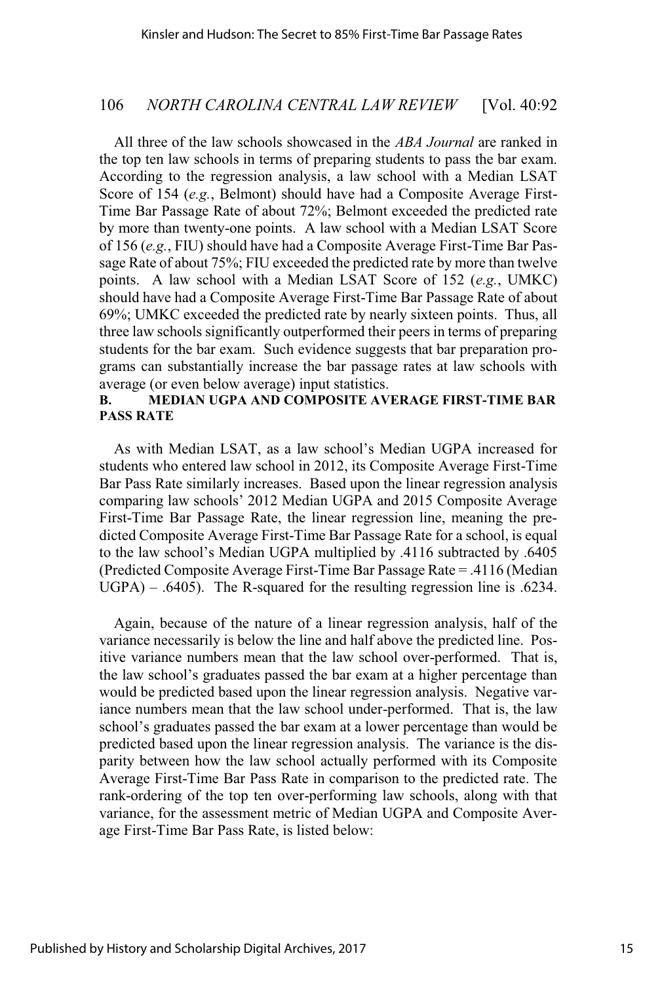All three of the law schools showcased in the *ABA Journal* are ranked in the top ten law schools in terms of preparing students to pass the bar exam. According to the regression analysis, a law school with a Median LSAT Score of 154 (*e.g.*, Belmont) should have had a Composite Average First-Time Bar Passage Rate of about 72%; Belmont exceeded the predicted rate by more than twenty-one points. A law school with a Median LSAT Score of 156 (*e.g.*, FIU) should have had a Composite Average First-Time Bar Passage Rate of about 75%; FIU exceeded the predicted rate by more than twelve points. A law school with a Median LSAT Score of 152 (*e.g.*, UMKC) should have had a Composite Average First-Time Bar Passage Rate of about 69%; UMKC exceeded the predicted rate by nearly sixteen points. Thus, all three law schools significantly outperformed their peers in terms of preparing students for the bar exam. Such evidence suggests that bar preparation programs can substantially increase the bar passage rates at law schools with average (or even below average) input statistics.

# **B. MEDIAN UGPA AND COMPOSITE AVERAGE FIRST-TIME BAR PASS RATE**

As with Median LSAT, as a law school's Median UGPA increased for students who entered law school in 2012, its Composite Average First-Time Bar Pass Rate similarly increases. Based upon the linear regression analysis comparing law schools' 2012 Median UGPA and 2015 Composite Average First-Time Bar Passage Rate, the linear regression line, meaning the predicted Composite Average First-Time Bar Passage Rate for a school, is equal to the law school's Median UGPA multiplied by .4116 subtracted by .6405 (Predicted Composite Average First-Time Bar Passage Rate = .4116 (Median UGPA) – .6405). The R-squared for the resulting regression line is .6234.

Again, because of the nature of a linear regression analysis, half of the variance necessarily is below the line and half above the predicted line. Positive variance numbers mean that the law school over-performed. That is, the law school's graduates passed the bar exam at a higher percentage than would be predicted based upon the linear regression analysis. Negative variance numbers mean that the law school under-performed. That is, the law school's graduates passed the bar exam at a lower percentage than would be predicted based upon the linear regression analysis. The variance is the disparity between how the law school actually performed with its Composite Average First-Time Bar Pass Rate in comparison to the predicted rate. The rank-ordering of the top ten over-performing law schools, along with that variance, for the assessment metric of Median UGPA and Composite Average First-Time Bar Pass Rate, is listed below: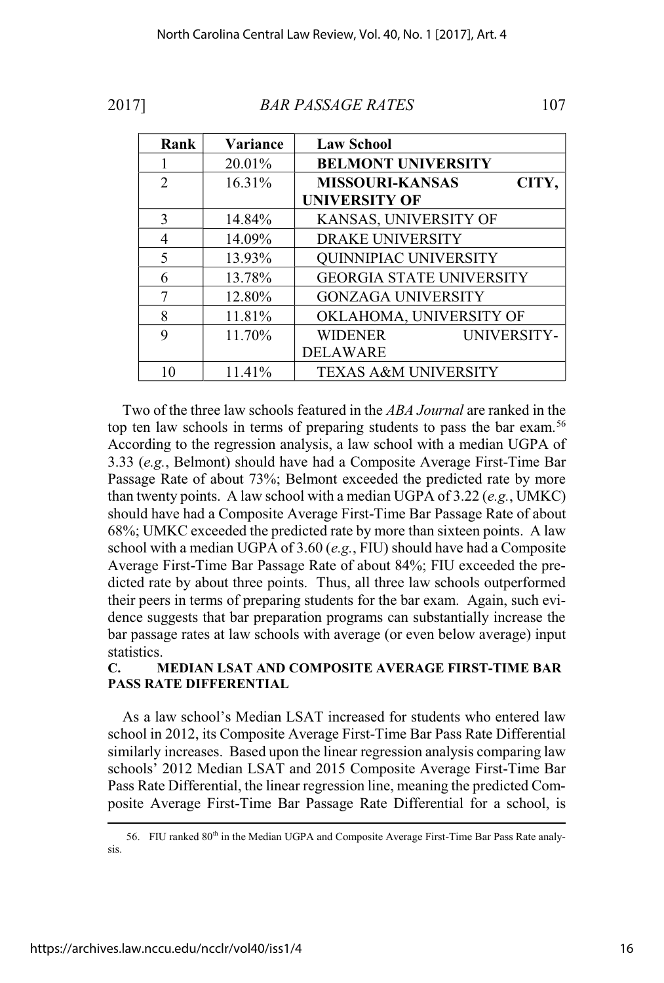| Rank                        | Variance  | <b>Law School</b>               |
|-----------------------------|-----------|---------------------------------|
|                             | 20.01%    | <b>BELMONT UNIVERSITY</b>       |
| $\mathcal{D}_{\mathcal{L}}$ | $16.31\%$ | <b>MISSOURI-KANSAS</b><br>CITY, |
|                             |           | <b>UNIVERSITY OF</b>            |
| 3                           | 14.84%    | KANSAS, UNIVERSITY OF           |
| 4                           | 14.09%    | <b>DRAKE UNIVERSITY</b>         |
| $\varsigma$                 | 13.93%    | <b>QUINNIPIAC UNIVERSITY</b>    |
| 6                           | 13.78%    | <b>GEORGIA STATE UNIVERSITY</b> |
|                             | 12.80%    | <b>GONZAGA UNIVERSITY</b>       |
| 8                           | 11.81%    | OKLAHOMA, UNIVERSITY OF         |
| Q                           | 11.70%    | <b>WIDENER</b><br>UNIVERSITY-   |
|                             |           | <b>DELAWARE</b>                 |
|                             | 11.41%    | <b>TEXAS A&amp;M UNIVERSITY</b> |

Two of the three law schools featured in the *ABA Journal* are ranked in the top ten law schools in terms of preparing students to pass the bar exam.<sup>56</sup> According to the regression analysis, a law school with a median UGPA of 3.33 (*e.g.*, Belmont) should have had a Composite Average First-Time Bar Passage Rate of about 73%; Belmont exceeded the predicted rate by more than twenty points. A law school with a median UGPA of 3.22 (*e.g.*, UMKC) should have had a Composite Average First-Time Bar Passage Rate of about 68%; UMKC exceeded the predicted rate by more than sixteen points. A law school with a median UGPA of 3.60 (*e.g.*, FIU) should have had a Composite Average First-Time Bar Passage Rate of about 84%; FIU exceeded the predicted rate by about three points. Thus, all three law schools outperformed their peers in terms of preparing students for the bar exam. Again, such evidence suggests that bar preparation programs can substantially increase the bar passage rates at law schools with average (or even below average) input statistics.

## **C. MEDIAN LSAT AND COMPOSITE AVERAGE FIRST-TIME BAR PASS RATE DIFFERENTIAL**

As a law school's Median LSAT increased for students who entered law school in 2012, its Composite Average First-Time Bar Pass Rate Differential similarly increases. Based upon the linear regression analysis comparing law schools' 2012 Median LSAT and 2015 Composite Average First-Time Bar Pass Rate Differential, the linear regression line, meaning the predicted Composite Average First-Time Bar Passage Rate Differential for a school, is

<sup>56.</sup> FIU ranked  $80<sup>th</sup>$  in the Median UGPA and Composite Average First-Time Bar Pass Rate analysis.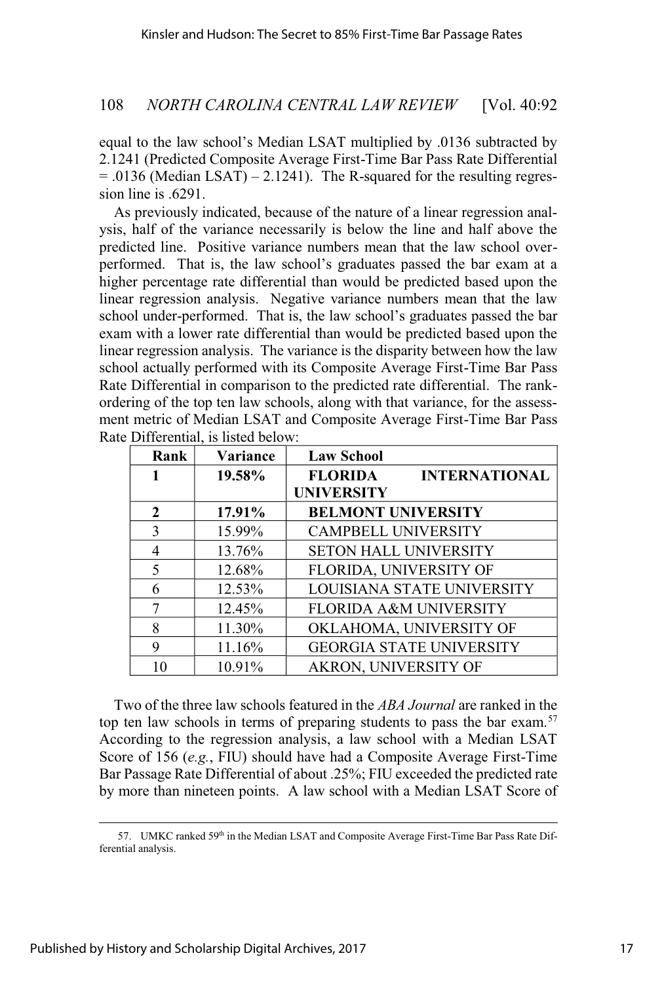equal to the law school's Median LSAT multiplied by .0136 subtracted by 2.1241 (Predicted Composite Average First-Time Bar Pass Rate Differential  $= .0136$  (Median LSAT)  $- 2.1241$ ). The R-squared for the resulting regression line is .6291.

As previously indicated, because of the nature of a linear regression analysis, half of the variance necessarily is below the line and half above the predicted line. Positive variance numbers mean that the law school overperformed. That is, the law school's graduates passed the bar exam at a higher percentage rate differential than would be predicted based upon the linear regression analysis. Negative variance numbers mean that the law school under-performed. That is, the law school's graduates passed the bar exam with a lower rate differential than would be predicted based upon the linear regression analysis. The variance is the disparity between how the law school actually performed with its Composite Average First-Time Bar Pass Rate Differential in comparison to the predicted rate differential. The rankordering of the top ten law schools, along with that variance, for the assessment metric of Median LSAT and Composite Average First-Time Bar Pass Rate Differential, is listed below:

| Rank | Variance | <b>Law School</b>                      |
|------|----------|----------------------------------------|
| 1    | 19.58%   | <b>FLORIDA</b><br><b>INTERNATIONAL</b> |
|      |          | <b>UNIVERSITY</b>                      |
| 2    | 17.91%   | <b>BELMONT UNIVERSITY</b>              |
| 3    | 15.99%   | <b>CAMPBELL UNIVERSITY</b>             |
| 4    | 13.76%   | <b>SETON HALL UNIVERSITY</b>           |
| 5    | 12.68%   | FLORIDA, UNIVERSITY OF                 |
| 6    | 12.53%   | LOUISIANA STATE UNIVERSITY             |
| 7    | 12.45%   | FLORIDA A&M UNIVERSITY                 |
| 8    | 11.30%   | OKLAHOMA, UNIVERSITY OF                |
| 9    | 11.16%   | <b>GEORGIA STATE UNIVERSITY</b>        |
| 10   | 10.91%   | AKRON, UNIVERSITY OF                   |

Two of the three law schools featured in the *ABA Journal* are ranked in the top ten law schools in terms of preparing students to pass the bar exam.<sup>57</sup> According to the regression analysis, a law school with a Median LSAT Score of 156 (*e.g.*, FIU) should have had a Composite Average First-Time Bar Passage Rate Differential of about .25%; FIU exceeded the predicted rate by more than nineteen points. A law school with a Median LSAT Score of

<sup>57.</sup> UMKC ranked 59<sup>th</sup> in the Median LSAT and Composite Average First-Time Bar Pass Rate Differential analysis.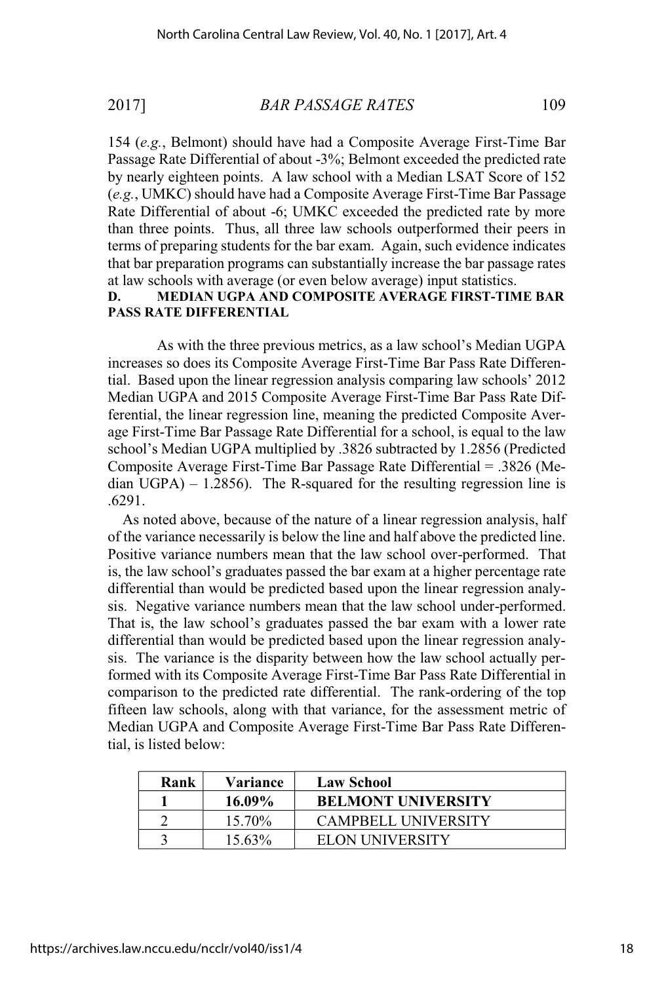154 (*e.g.*, Belmont) should have had a Composite Average First-Time Bar Passage Rate Differential of about -3%; Belmont exceeded the predicted rate by nearly eighteen points. A law school with a Median LSAT Score of 152 (*e.g.*, UMKC) should have had a Composite Average First-Time Bar Passage Rate Differential of about -6; UMKC exceeded the predicted rate by more than three points. Thus, all three law schools outperformed their peers in terms of preparing students for the bar exam. Again, such evidence indicates that bar preparation programs can substantially increase the bar passage rates at law schools with average (or even below average) input statistics.

### **D. MEDIAN UGPA AND COMPOSITE AVERAGE FIRST-TIME BAR PASS RATE DIFFERENTIAL**

As with the three previous metrics, as a law school's Median UGPA increases so does its Composite Average First-Time Bar Pass Rate Differential. Based upon the linear regression analysis comparing law schools' 2012 Median UGPA and 2015 Composite Average First-Time Bar Pass Rate Differential, the linear regression line, meaning the predicted Composite Average First-Time Bar Passage Rate Differential for a school, is equal to the law school's Median UGPA multiplied by .3826 subtracted by 1.2856 (Predicted Composite Average First-Time Bar Passage Rate Differential = .3826 (Median  $UGPA$ ) – 1.2856). The R-squared for the resulting regression line is .6291.

As noted above, because of the nature of a linear regression analysis, half of the variance necessarily is below the line and half above the predicted line. Positive variance numbers mean that the law school over-performed. That is, the law school's graduates passed the bar exam at a higher percentage rate differential than would be predicted based upon the linear regression analysis. Negative variance numbers mean that the law school under-performed. That is, the law school's graduates passed the bar exam with a lower rate differential than would be predicted based upon the linear regression analysis. The variance is the disparity between how the law school actually performed with its Composite Average First-Time Bar Pass Rate Differential in comparison to the predicted rate differential. The rank-ordering of the top fifteen law schools, along with that variance, for the assessment metric of Median UGPA and Composite Average First-Time Bar Pass Rate Differential, is listed below:

| Rank | Variance  | <b>Law School</b>          |
|------|-----------|----------------------------|
|      | $16.09\%$ | <b>BELMONT UNIVERSITY</b>  |
|      | 15.70%    | <b>CAMPBELL UNIVERSITY</b> |
|      | 15.63%    | <b>ELON UNIVERSITY</b>     |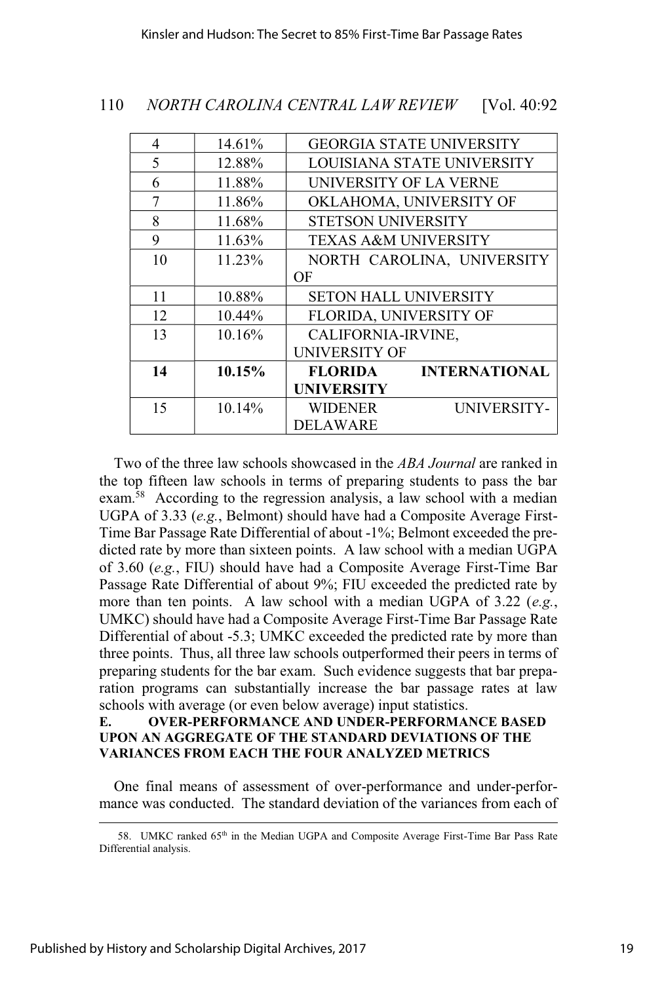| 4  | 14.61%    |                   | <b>GEORGIA STATE UNIVERSITY</b>                                                                            |
|----|-----------|-------------------|------------------------------------------------------------------------------------------------------------|
| 5  | 12.88%    |                   | LOUISIANA STATE UNIVERSITY                                                                                 |
| 6  | 11.88%    |                   | UNIVERSITY OF LA VERNE                                                                                     |
| 7  | 11.86%    |                   | OKLAHOMA, UNIVERSITY OF                                                                                    |
| 8  | 11.68%    |                   |                                                                                                            |
| 9  | $11.63\%$ |                   |                                                                                                            |
| 10 | 11.23%    |                   | NORTH CAROLINA, UNIVERSITY                                                                                 |
|    |           | OF                |                                                                                                            |
| 11 | 10.88%    |                   | <b>SETON HALL UNIVERSITY</b>                                                                               |
| 12 | 10.44%    |                   | FLORIDA, UNIVERSITY OF                                                                                     |
| 13 | $10.16\%$ |                   |                                                                                                            |
|    |           |                   |                                                                                                            |
| 14 | $10.15\%$ | <b>FLORIDA</b>    | <b>INTERNATIONAL</b>                                                                                       |
|    |           | <b>UNIVERSITY</b> |                                                                                                            |
| 15 | $10.14\%$ | <b>WIDENER</b>    | UNIVERSITY-                                                                                                |
|    |           | <b>DELAWARE</b>   |                                                                                                            |
|    |           |                   | <b>STETSON UNIVERSITY</b><br><b>TEXAS A&amp;M UNIVERSITY</b><br>CALIFORNIA-IRVINE,<br><b>UNIVERSITY OF</b> |

Two of the three law schools showcased in the *ABA Journal* are ranked in the top fifteen law schools in terms of preparing students to pass the bar exam.<sup>58</sup> According to the regression analysis, a law school with a median UGPA of 3.33 (*e.g.*, Belmont) should have had a Composite Average First-Time Bar Passage Rate Differential of about -1%; Belmont exceeded the predicted rate by more than sixteen points. A law school with a median UGPA of 3.60 (*e.g.*, FIU) should have had a Composite Average First-Time Bar Passage Rate Differential of about 9%; FIU exceeded the predicted rate by more than ten points. A law school with a median UGPA of 3.22 (*e.g.*, UMKC) should have had a Composite Average First-Time Bar Passage Rate Differential of about -5.3; UMKC exceeded the predicted rate by more than three points. Thus, all three law schools outperformed their peers in terms of preparing students for the bar exam. Such evidence suggests that bar preparation programs can substantially increase the bar passage rates at law schools with average (or even below average) input statistics.

#### **E. OVER-PERFORMANCE AND UNDER-PERFORMANCE BASED UPON AN AGGREGATE OF THE STANDARD DEVIATIONS OF THE VARIANCES FROM EACH THE FOUR ANALYZED METRICS**

One final means of assessment of over-performance and under-performance was conducted. The standard deviation of the variances from each of

<sup>58.</sup> UMKC ranked 65th in the Median UGPA and Composite Average First-Time Bar Pass Rate Differential analysis.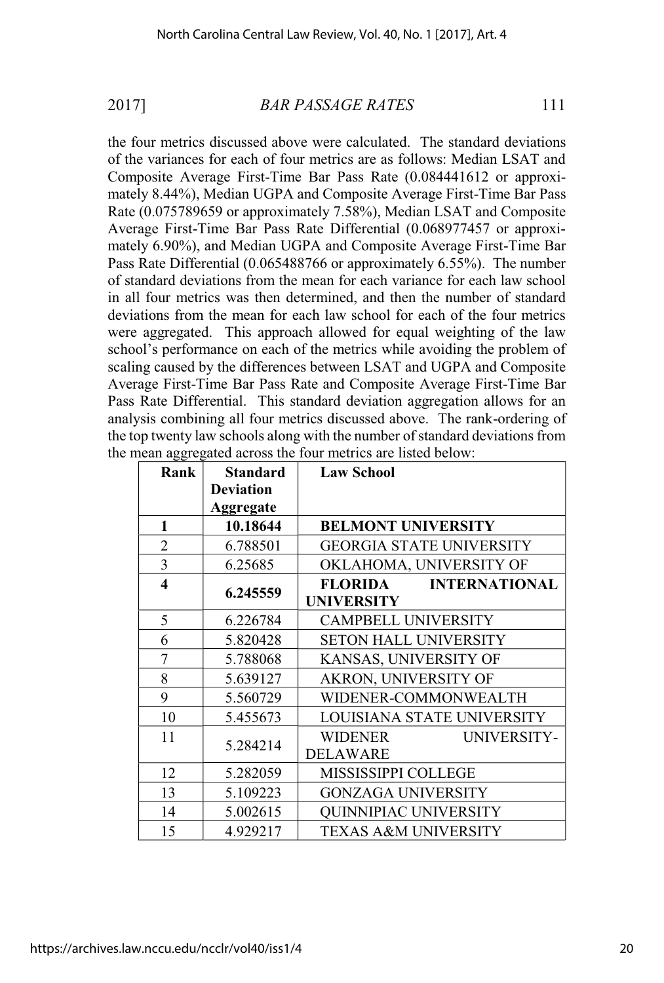the four metrics discussed above were calculated. The standard deviations of the variances for each of four metrics are as follows: Median LSAT and Composite Average First-Time Bar Pass Rate (0.084441612 or approximately 8.44%), Median UGPA and Composite Average First-Time Bar Pass Rate (0.075789659 or approximately 7.58%), Median LSAT and Composite Average First-Time Bar Pass Rate Differential (0.068977457 or approximately 6.90%), and Median UGPA and Composite Average First-Time Bar Pass Rate Differential (0.065488766 or approximately 6.55%). The number of standard deviations from the mean for each variance for each law school in all four metrics was then determined, and then the number of standard deviations from the mean for each law school for each of the four metrics were aggregated. This approach allowed for equal weighting of the law school's performance on each of the metrics while avoiding the problem of scaling caused by the differences between LSAT and UGPA and Composite Average First-Time Bar Pass Rate and Composite Average First-Time Bar Pass Rate Differential. This standard deviation aggregation allows for an analysis combining all four metrics discussed above. The rank-ordering of the top twenty law schools along with the number of standard deviations from the mean aggregated across the four metrics are listed below:

| Rank                    | <b>Standard</b>  | <b>Law School</b>                      |
|-------------------------|------------------|----------------------------------------|
|                         | <b>Deviation</b> |                                        |
|                         | Aggregate        |                                        |
| 1                       | 10.18644         | <b>BELMONT UNIVERSITY</b>              |
| 2                       | 6.788501         | <b>GEORGIA STATE UNIVERSITY</b>        |
| 3                       | 6.25685          | OKLAHOMA, UNIVERSITY OF                |
| $\overline{\mathbf{4}}$ | 6.245559         | <b>INTERNATIONAL</b><br><b>FLORIDA</b> |
|                         |                  | <b>UNIVERSITY</b>                      |
| 5                       | 6.226784         | <b>CAMPBELL UNIVERSITY</b>             |
| 6                       | 5.820428         | <b>SETON HALL UNIVERSITY</b>           |
| 7                       | 5.788068         | KANSAS, UNIVERSITY OF                  |
| 8                       | 5.639127         | AKRON, UNIVERSITY OF                   |
| 9                       | 5.560729         | WIDENER-COMMONWEALTH                   |
| 10                      | 5.455673         | LOUISIANA STATE UNIVERSITY             |
| 11                      | 5.284214         | WIDENER<br>UNIVERSITY-                 |
|                         |                  | <b>DELAWARE</b>                        |
| 12                      | 5.282059         | MISSISSIPPI COLLEGE                    |
| 13                      | 5.109223         | <b>GONZAGA UNIVERSITY</b>              |
| 14                      | 5.002615         | <b>QUINNIPIAC UNIVERSITY</b>           |
| 15                      | 4.929217         | <b>TEXAS A&amp;M UNIVERSITY</b>        |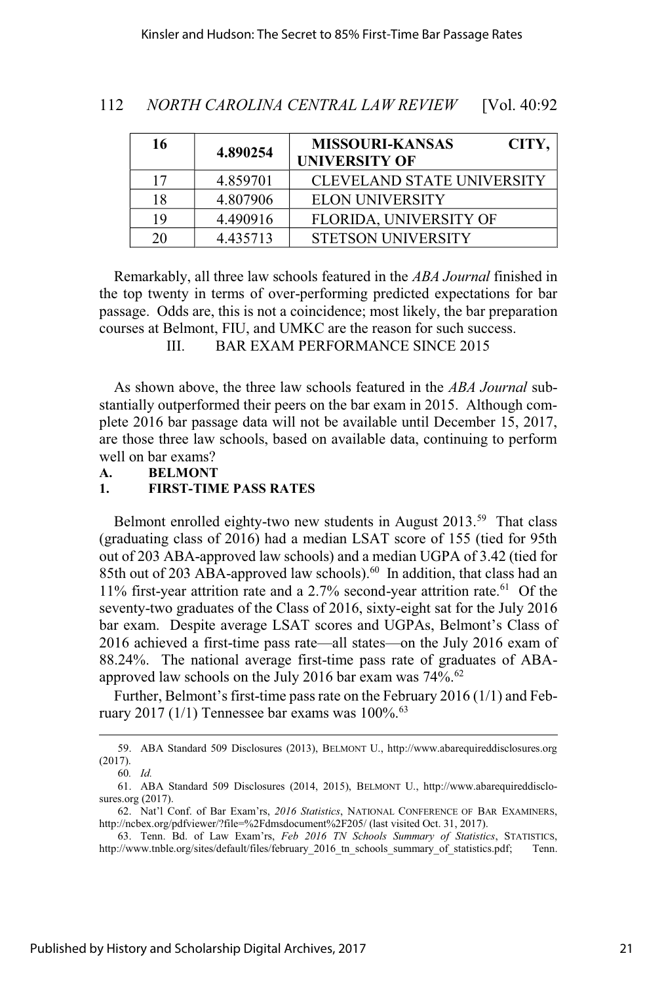| 112 | NORTH CAROLINA CENTRAL LAW REVIEW |  | [Vol. $40:92$ |
|-----|-----------------------------------|--|---------------|
|-----|-----------------------------------|--|---------------|

| 16 | 4.890254 | <b>MISSOURI-KANSAS</b><br>CITY,<br><b>UNIVERSITY OF</b> |
|----|----------|---------------------------------------------------------|
| 17 | 4.859701 | <b>CLEVELAND STATE UNIVERSITY</b>                       |
| 18 | 4.807906 | <b>ELON UNIVERSITY</b>                                  |
| 19 | 4.490916 | FLORIDA, UNIVERSITY OF                                  |
| 20 | 4.435713 | <b>STETSON UNIVERSITY</b>                               |

Remarkably, all three law schools featured in the *ABA Journal* finished in the top twenty in terms of over-performing predicted expectations for bar passage. Odds are, this is not a coincidence; most likely, the bar preparation courses at Belmont, FIU, and UMKC are the reason for such success.

III. BAR EXAM PERFORMANCE SINCE 2015

As shown above, the three law schools featured in the *ABA Journal* substantially outperformed their peers on the bar exam in 2015. Although complete 2016 bar passage data will not be available until December 15, 2017, are those three law schools, based on available data, continuing to perform well on bar exams?

**A. BELMONT**

#### **1. FIRST-TIME PASS RATES**

Belmont enrolled eighty-two new students in August 2013.<sup>59</sup> That class (graduating class of 2016) had a median LSAT score of 155 (tied for 95th out of 203 ABA-approved law schools) and a median UGPA of 3.42 (tied for 85th out of 203 ABA-approved law schools).<sup>60</sup> In addition, that class had an 11% first-year attrition rate and a 2.7% second-year attrition rate. $^{61}$  Of the seventy-two graduates of the Class of 2016, sixty-eight sat for the July 2016 bar exam. Despite average LSAT scores and UGPAs, Belmont's Class of 2016 achieved a first-time pass rate—all states—on the July 2016 exam of 88.24%. The national average first-time pass rate of graduates of ABAapproved law schools on the July 2016 bar exam was 74%.<sup>62</sup>

Further, Belmont's first-time pass rate on the February  $2016 (1/1)$  and February 2017 (1/1) Tennessee bar exams was  $100\%$ .<sup>63</sup>

<sup>59.</sup> ABA Standard 509 Disclosures (2013), BELMONT U., http://www.abarequireddisclosures.org (2017).

<sup>60</sup>*. Id.*

<sup>61.</sup> ABA Standard 509 Disclosures (2014, 2015), BELMONT U., http://www.abarequireddisclosures.org (2017).

<sup>62.</sup> Nat'l Conf. of Bar Exam'rs, *2016 Statistics*, NATIONAL CONFERENCE OF BAR EXAMINERS, http://ncbex.org/pdfviewer/?file=%2Fdmsdocument%2F205/ (last visited Oct. 31, 2017).

<sup>63.</sup> Tenn. Bd. of Law Exam'rs, *Feb 2016 TN Schools Summary of Statistics*, STATISTICS, http://www.tnble.org/sites/default/files/february\_2016\_tn\_schools\_summary\_of\_statistics.pdf; Tenn.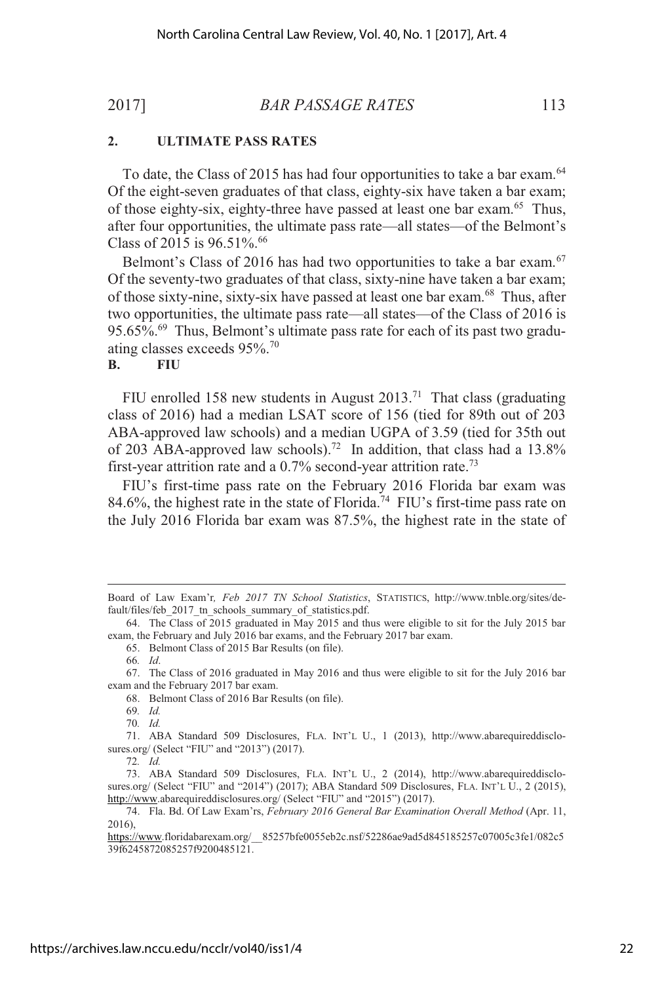### **2. ULTIMATE PASS RATES**

To date, the Class of 2015 has had four opportunities to take a bar exam.<sup>64</sup> Of the eight-seven graduates of that class, eighty-six have taken a bar exam; of those eighty-six, eighty-three have passed at least one bar exam.<sup>65</sup> Thus, after four opportunities, the ultimate pass rate—all states—of the Belmont's Class of 2015 is  $96.51\%$ .<sup>66</sup>

Belmont's Class of 2016 has had two opportunities to take a bar exam. $67$ Of the seventy-two graduates of that class, sixty-nine have taken a bar exam; of those sixty-nine, sixty-six have passed at least one bar exam.<sup>68</sup> Thus, after two opportunities, the ultimate pass rate—all states—of the Class of 2016 is 95.65%.<sup>69</sup> Thus, Belmont's ultimate pass rate for each of its past two graduating classes exceeds 95%.<sup>70</sup>

#### **B. FIU**

FIU enrolled 158 new students in August  $2013$ .<sup>71</sup> That class (graduating class of 2016) had a median LSAT score of 156 (tied for 89th out of 203 ABA-approved law schools) and a median UGPA of 3.59 (tied for 35th out of 203 ABA-approved law schools).<sup>72</sup> In addition, that class had a  $13.8\%$ first-year attrition rate and a  $0.7\%$  second-year attrition rate.<sup>73</sup>

FIU's first-time pass rate on the February 2016 Florida bar exam was 84.6%, the highest rate in the state of Florida.<sup>74</sup> FIU's first-time pass rate on the July 2016 Florida bar exam was 87.5%, the highest rate in the state of

65. Belmont Class of 2015 Bar Results (on file).

66*. Id*.

68. Belmont Class of 2016 Bar Results (on file).

69*. Id.* 70*. Id.*

71. ABA Standard 509 Disclosures, FLA. INT'L U., 1 (2013), http://www.abarequireddisclosures.org/ (Select "FIU" and "2013") (2017).

72*. Id.*

Board of Law Exam'r*, Feb 2017 TN School Statistics*, STATISTICS, http://www.tnble.org/sites/default/files/feb\_2017\_tn\_schools\_summary\_of\_statistics.pdf.

<sup>64.</sup> The Class of 2015 graduated in May 2015 and thus were eligible to sit for the July 2015 bar exam, the February and July 2016 bar exams, and the February 2017 bar exam.

<sup>67.</sup> The Class of 2016 graduated in May 2016 and thus were eligible to sit for the July 2016 bar exam and the February 2017 bar exam.

<sup>73.</sup> ABA Standard 509 Disclosures, FLA. INT'L U., 2 (2014), http://www.abarequireddisclosures.org/ (Select "FIU" and "2014") (2017); ABA Standard 509 Disclosures, FLA. INT'L U., 2 (2015), http://www.abarequireddisclosures.org/ (Select "FIU" and "2015") (2017).

<sup>74.</sup> Fla. Bd. Of Law Exam'rs, *February 2016 General Bar Examination Overall Method* (Apr. 11, 2016),

https://www.floridabarexam.org/\_\_85257bfe0055eb2c.nsf/52286ae9ad5d845185257c07005c3fe1/082c5 39f6245872085257f9200485121.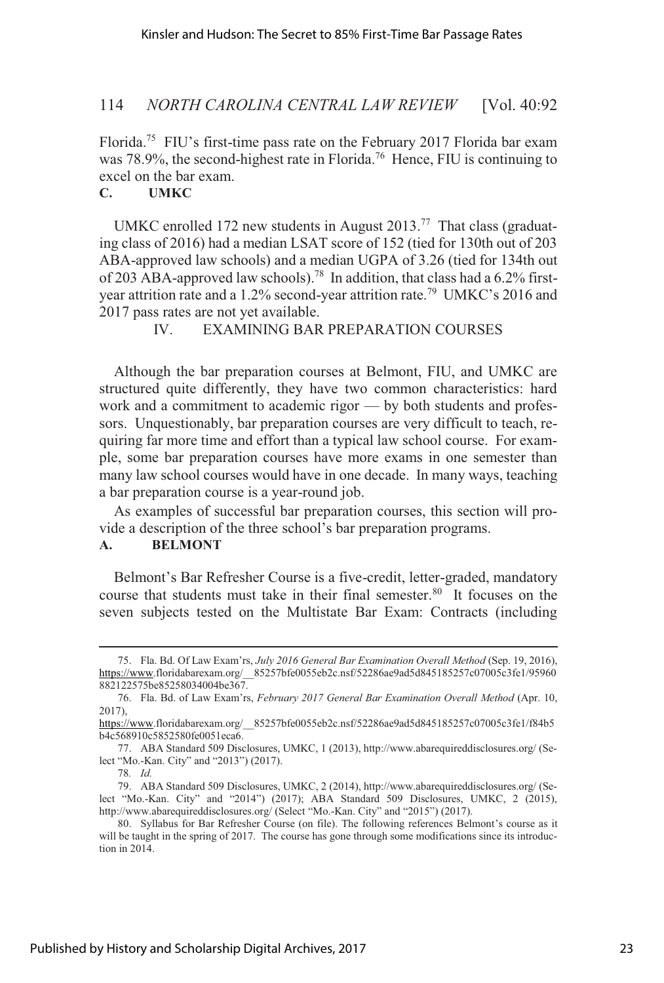Florida.<sup>75</sup> FIU's first-time pass rate on the February 2017 Florida bar exam was  $78.9\%$ , the second-highest rate in Florida.<sup>76</sup> Hence, FIU is continuing to excel on the bar exam.

### **C. UMKC**

UMKC enrolled 172 new students in August  $2013$ .<sup>77</sup> That class (graduating class of 2016) had a median LSAT score of 152 (tied for 130th out of 203 ABA-approved law schools) and a median UGPA of 3.26 (tied for 134th out of 203 ABA-approved law schools).<sup>78</sup> In addition, that class had a 6.2% firstyear attrition rate and a 1.2% second-year attrition rate.<sup>79</sup> UMKC's 2016 and 2017 pass rates are not yet available.

IV. EXAMINING BAR PREPARATION COURSES

Although the bar preparation courses at Belmont, FIU, and UMKC are structured quite differently, they have two common characteristics: hard work and a commitment to academic rigor — by both students and professors. Unquestionably, bar preparation courses are very difficult to teach, requiring far more time and effort than a typical law school course. For example, some bar preparation courses have more exams in one semester than many law school courses would have in one decade. In many ways, teaching a bar preparation course is a year-round job.

As examples of successful bar preparation courses, this section will provide a description of the three school's bar preparation programs.

## **A. BELMONT**

Belmont's Bar Refresher Course is a five-credit, letter-graded, mandatory course that students must take in their final semester.<sup>80</sup> It focuses on the seven subjects tested on the Multistate Bar Exam: Contracts (including

<sup>75.</sup> Fla. Bd. Of Law Exam'rs, *July 2016 General Bar Examination Overall Method* (Sep. 19, 2016), https://www.floridabarexam.org/\_\_85257bfe0055eb2c.nsf/52286ae9ad5d845185257c07005c3fe1/95960 882122575be85258034004be367.

<sup>76.</sup> Fla. Bd. of Law Exam'rs, *February 2017 General Bar Examination Overall Method* (Apr. 10, 2017),

https://www.floridabarexam.org/\_\_85257bfe0055eb2c.nsf/52286ae9ad5d845185257c07005c3fe1/f84b5 b4c568910c5852580fe0051eca6.

<sup>77.</sup> ABA Standard 509 Disclosures, UMKC, 1 (2013), http://www.abarequireddisclosures.org/ (Select "Mo.-Kan. City" and "2013") (2017).

<sup>78</sup>*. Id.*

<sup>79.</sup> ABA Standard 509 Disclosures, UMKC, 2 (2014), http://www.abarequireddisclosures.org/ (Select "Mo.-Kan. City" and "2014") (2017); ABA Standard 509 Disclosures, UMKC, 2 (2015), http://www.abarequireddisclosures.org/ (Select "Mo.-Kan. City" and "2015") (2017).

<sup>80.</sup> Syllabus for Bar Refresher Course (on file). The following references Belmont's course as it will be taught in the spring of 2017. The course has gone through some modifications since its introduction in 2014.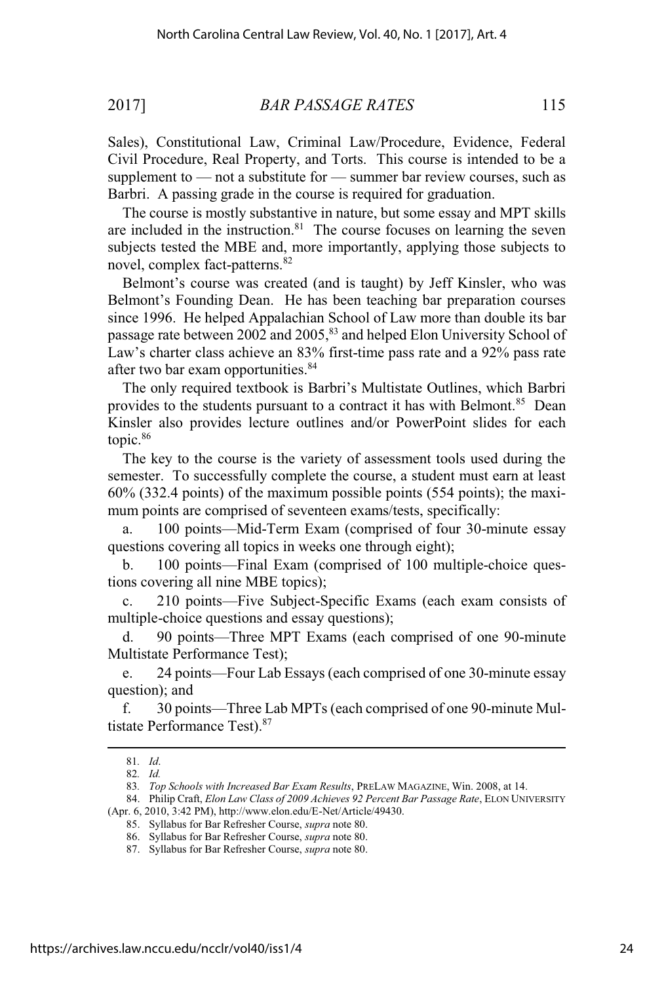Sales), Constitutional Law, Criminal Law/Procedure, Evidence, Federal Civil Procedure, Real Property, and Torts. This course is intended to be a supplement to — not a substitute for — summer bar review courses, such as Barbri. A passing grade in the course is required for graduation.

The course is mostly substantive in nature, but some essay and MPT skills are included in the instruction. $81$  The course focuses on learning the seven subjects tested the MBE and, more importantly, applying those subjects to novel, complex fact-patterns.<sup>82</sup>

Belmont's course was created (and is taught) by Jeff Kinsler, who was Belmont's Founding Dean. He has been teaching bar preparation courses since 1996. He helped Appalachian School of Law more than double its bar passage rate between 2002 and 2005,<sup>83</sup> and helped Elon University School of Law's charter class achieve an  $83\%$  first-time pass rate and a  $92\%$  pass rate after two bar exam opportunities.<sup>84</sup>

The only required textbook is Barbri's Multistate Outlines, which Barbri provides to the students pursuant to a contract it has with Belmont.<sup>85</sup> Dean Kinsler also provides lecture outlines and/or PowerPoint slides for each topic.<sup>86</sup>

The key to the course is the variety of assessment tools used during the semester. To successfully complete the course, a student must earn at least 60% (332.4 points) of the maximum possible points (554 points); the maximum points are comprised of seventeen exams/tests, specifically:

a. 100 points—Mid-Term Exam (comprised of four 30-minute essay questions covering all topics in weeks one through eight);

b. 100 points—Final Exam (comprised of 100 multiple-choice questions covering all nine MBE topics);

c. 210 points—Five Subject-Specific Exams (each exam consists of multiple-choice questions and essay questions);

d. 90 points—Three MPT Exams (each comprised of one 90-minute Multistate Performance Test);

e. 24 points—Four Lab Essays (each comprised of one 30-minute essay question); and

f. 30 points—Three Lab MPTs (each comprised of one 90-minute Multistate Performance Test).<sup>87</sup>

84. Philip Craft, *Elon Law Class of 2009 Achieves 92 Percent Bar Passage Rate*, ELON UNIVERSITY (Apr. 6, 2010, 3:42 PM), http://www.elon.edu/E-Net/Article/49430.

<sup>81</sup>*. Id*.

<sup>82</sup>*. Id.*

<sup>83</sup>*. Top Schools with Increased Bar Exam Results*, PRELAW MAGAZINE, Win. 2008, at 14.

<sup>85.</sup> Syllabus for Bar Refresher Course, *supra* note 80.

<sup>86.</sup> Syllabus for Bar Refresher Course, *supra* note 80.

<sup>87.</sup> Syllabus for Bar Refresher Course, *supra* note 80.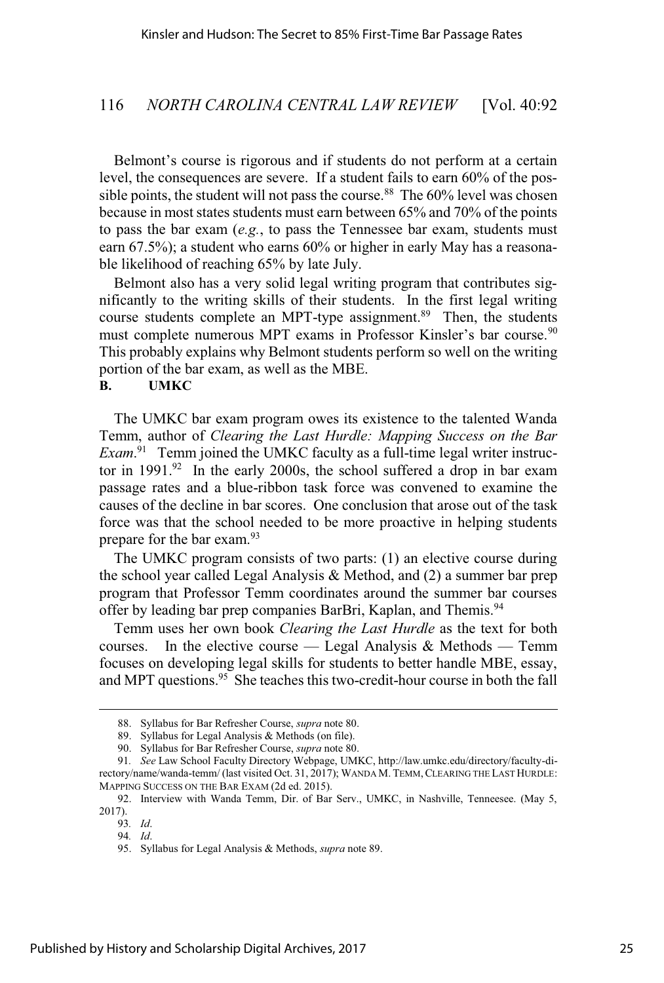Belmont's course is rigorous and if students do not perform at a certain level, the consequences are severe. If a student fails to earn 60% of the possible points, the student will not pass the course.<sup>88</sup> The  $60\%$  level was chosen because in most states students must earn between 65% and 70% of the points to pass the bar exam (*e.g.*, to pass the Tennessee bar exam, students must earn 67.5%); a student who earns 60% or higher in early May has a reasonable likelihood of reaching 65% by late July.

Belmont also has a very solid legal writing program that contributes significantly to the writing skills of their students. In the first legal writing course students complete an MPT-type assignment.<sup>89</sup> Then, the students must complete numerous MPT exams in Professor Kinsler's bar course.<sup>90</sup> This probably explains why Belmont students perform so well on the writing portion of the bar exam, as well as the MBE.

#### **B. UMKC**

The UMKC bar exam program owes its existence to the talented Wanda Temm, author of *Clearing the Last Hurdle: Mapping Success on the Bar Exam*. <sup>91</sup> Temm joined the UMKC faculty as a full-time legal writer instructor in  $1991.^{92}$  In the early 2000s, the school suffered a drop in bar exam passage rates and a blue-ribbon task force was convened to examine the causes of the decline in bar scores. One conclusion that arose out of the task force was that the school needed to be more proactive in helping students prepare for the bar exam.<sup>93</sup>

The UMKC program consists of two parts: (1) an elective course during the school year called Legal Analysis & Method, and (2) a summer bar prep program that Professor Temm coordinates around the summer bar courses offer by leading bar prep companies BarBri, Kaplan, and Themis.<sup>94</sup>

Temm uses her own book *Clearing the Last Hurdle* as the text for both courses. In the elective course — Legal Analysis & Methods — Temm focuses on developing legal skills for students to better handle MBE, essay, and MPT questions.<sup>95</sup> She teaches this two-credit-hour course in both the fall

<sup>88.</sup> Syllabus for Bar Refresher Course, *supra* note 80.

<sup>89.</sup> Syllabus for Legal Analysis & Methods (on file).

<sup>90.</sup> Syllabus for Bar Refresher Course, *supra* note 80.

<sup>91</sup>*. See* Law School Faculty Directory Webpage, UMKC, http://law.umkc.edu/directory/faculty-directory/name/wanda-temm/ (last visited Oct. 31, 2017); WANDA M. TEMM, CLEARING THE LAST HURDLE: MAPPING SUCCESS ON THE BAR EXAM (2d ed. 2015).

<sup>92.</sup> Interview with Wanda Temm, Dir. of Bar Serv., UMKC, in Nashville, Tenneesee. (May 5, 2017).

<sup>93</sup>*. Id*.

<sup>94</sup>*. Id*.

<sup>95.</sup> Syllabus for Legal Analysis & Methods, *supra* note 89.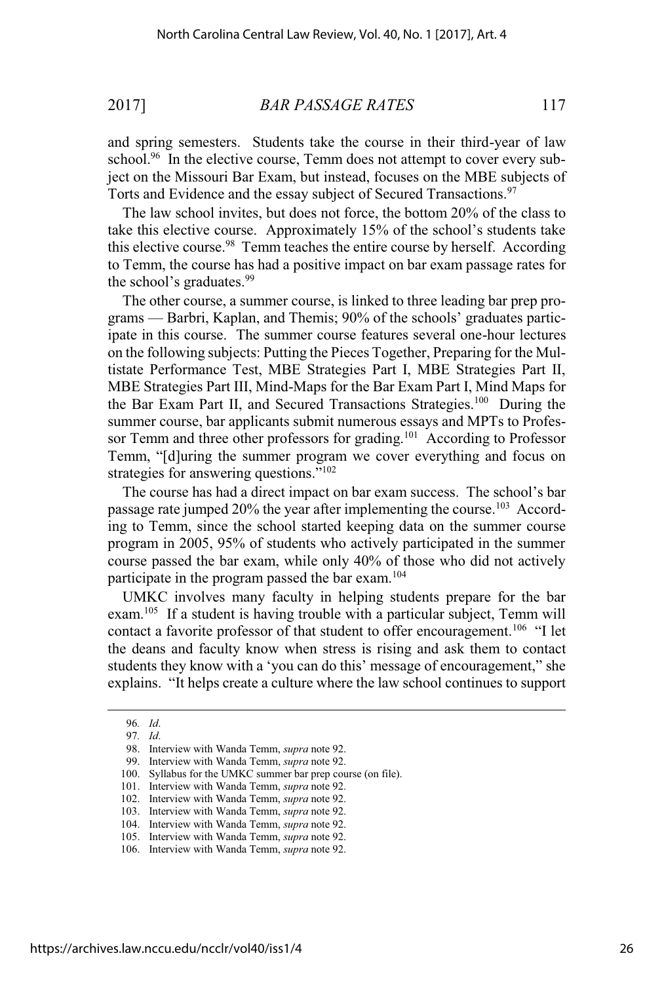and spring semesters. Students take the course in their third-year of law school.<sup>96</sup> In the elective course, Temm does not attempt to cover every subject on the Missouri Bar Exam, but instead, focuses on the MBE subjects of Torts and Evidence and the essay subject of Secured Transactions.<sup>97</sup>

The law school invites, but does not force, the bottom 20% of the class to take this elective course. Approximately  $15%$  of the school's students take this elective course.<sup>98</sup> Temm teaches the entire course by herself. According to Temm, the course has had a positive impact on bar exam passage rates for the school's graduates.<sup>99</sup>

The other course, a summer course, is linked to three leading bar prep programs — Barbri, Kaplan, and Themis; 90% of the schools' graduates participate in this course. The summer course features several one-hour lectures on the following subjects: Putting the Pieces Together, Preparing for the Multistate Performance Test, MBE Strategies Part I, MBE Strategies Part II, MBE Strategies Part III, Mind-Maps for the Bar Exam Part I, Mind Maps for the Bar Exam Part II, and Secured Transactions Strategies.<sup>100</sup> During the summer course, bar applicants submit numerous essays and MPTs to Professor Temm and three other professors for grading.<sup>101</sup> According to Professor Temm, "[d]uring the summer program we cover everything and focus on strategies for answering questions."<sup>102</sup>

The course has had a direct impact on bar exam success. The school's bar passage rate jumped 20% the year after implementing the course.<sup>103</sup> According to Temm, since the school started keeping data on the summer course program in 2005, 95% of students who actively participated in the summer course passed the bar exam, while only 40% of those who did not actively participate in the program passed the bar exam.<sup>104</sup>

UMKC involves many faculty in helping students prepare for the bar exam.<sup>105</sup> If a student is having trouble with a particular subject, Temm will contact a favorite professor of that student to offer encouragement.<sup>106</sup> "I let the deans and faculty know when stress is rising and ask them to contact students they know with a 'you can do this' message of encouragement," she explains. "It helps create a culture where the law school continues to support

<sup>96</sup>*. Id*.

<sup>97</sup>*. Id*.

<sup>98.</sup> Interview with Wanda Temm, *supra* note 92.

<sup>99.</sup> Interview with Wanda Temm, *supra* note 92.

<sup>100.</sup> Syllabus for the UMKC summer bar prep course (on file).

<sup>101.</sup> Interview with Wanda Temm, *supra* note 92.

<sup>102.</sup> Interview with Wanda Temm, *supra* note 92.

<sup>103.</sup> Interview with Wanda Temm, *supra* note 92.

<sup>104.</sup> Interview with Wanda Temm, *supra* note 92.

<sup>105.</sup> Interview with Wanda Temm, *supra* note 92.

<sup>106.</sup> Interview with Wanda Temm, *supra* note 92.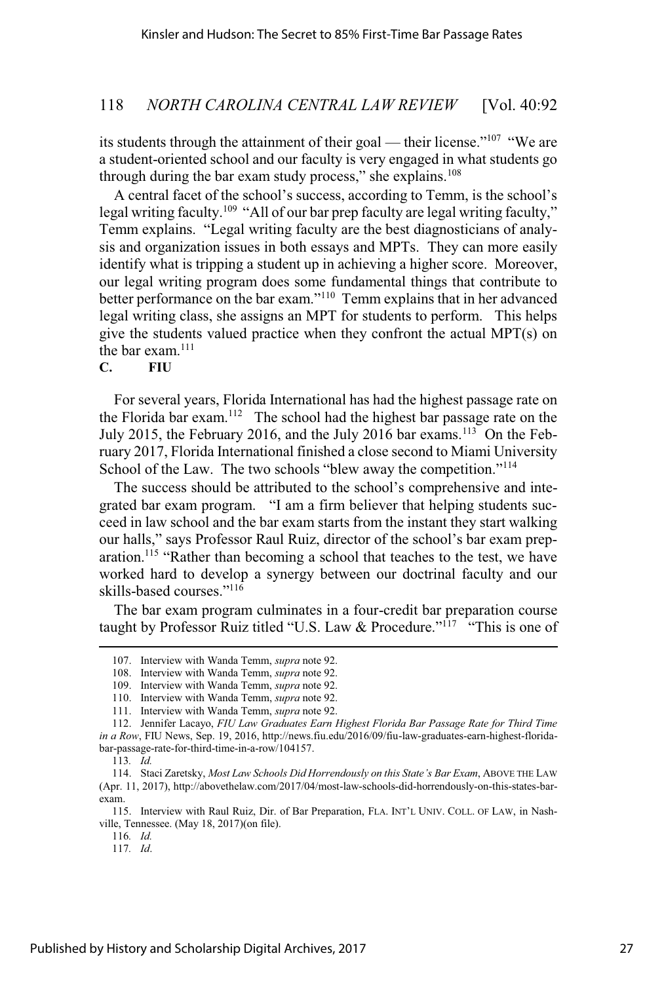its students through the attainment of their goal — their license."<sup>107</sup> "We are a student-oriented school and our faculty is very engaged in what students go through during the bar exam study process," she explains.<sup>108</sup>

A central facet of the school's success, according to Temm, is the school's legal writing faculty.<sup>109</sup> "All of our bar prep faculty are legal writing faculty," Temm explains. "Legal writing faculty are the best diagnosticians of analysis and organization issues in both essays and MPTs. They can more easily identify what is tripping a student up in achieving a higher score. Moreover, our legal writing program does some fundamental things that contribute to better performance on the bar exam."<sup>110</sup> Temm explains that in her advanced legal writing class, she assigns an MPT for students to perform. This helps give the students valued practice when they confront the actual MPT(s) on the bar exam.<sup>111</sup>

## **C. FIU**

For several years, Florida International has had the highest passage rate on the Florida bar exam.<sup>112</sup> The school had the highest bar passage rate on the July 2015, the February 2016, and the July 2016 bar exams.<sup>113</sup> On the February 2017, Florida International finished a close second to Miami University School of the Law. The two schools "blew away the competition."<sup>114</sup>

The success should be attributed to the school's comprehensive and integrated bar exam program. "I am a firm believer that helping students succeed in law school and the bar exam starts from the instant they start walking our halls," says Professor Raul Ruiz, director of the school's bar exam preparation.<sup>115</sup> "Rather than becoming a school that teaches to the test, we have worked hard to develop a synergy between our doctrinal faculty and our skills-based courses."<sup>116</sup>

The bar exam program culminates in a four-credit bar preparation course taught by Professor Ruiz titled "U.S. Law & Procedure."<sup>117</sup> "This is one of

<sup>107.</sup> Interview with Wanda Temm, *supra* note 92.

<sup>108.</sup> Interview with Wanda Temm, *supra* note 92.

<sup>109.</sup> Interview with Wanda Temm, *supra* note 92.

<sup>110.</sup> Interview with Wanda Temm, *supra* note 92.

<sup>111.</sup> Interview with Wanda Temm, *supra* note 92.

<sup>112.</sup> Jennifer Lacayo, *FIU Law Graduates Earn Highest Florida Bar Passage Rate for Third Time in a Row*, FIU News, Sep. 19, 2016, http://news.fiu.edu/2016/09/fiu-law-graduates-earn-highest-floridabar-passage-rate-for-third-time-in-a-row/104157.

<sup>113</sup>*. Id.*

<sup>114.</sup> Staci Zaretsky, *Most Law Schools Did Horrendously on this State's Bar Exam*, ABOVE THE LAW (Apr. 11, 2017), http://abovethelaw.com/2017/04/most-law-schools-did-horrendously-on-this-states-barexam.

<sup>115.</sup> Interview with Raul Ruiz, Dir. of Bar Preparation, FLA. INT'L UNIV. COLL. OF LAW, in Nashville, Tennessee. (May 18, 2017)(on file).

<sup>116</sup>*. Id.*

<sup>117</sup>*. Id*.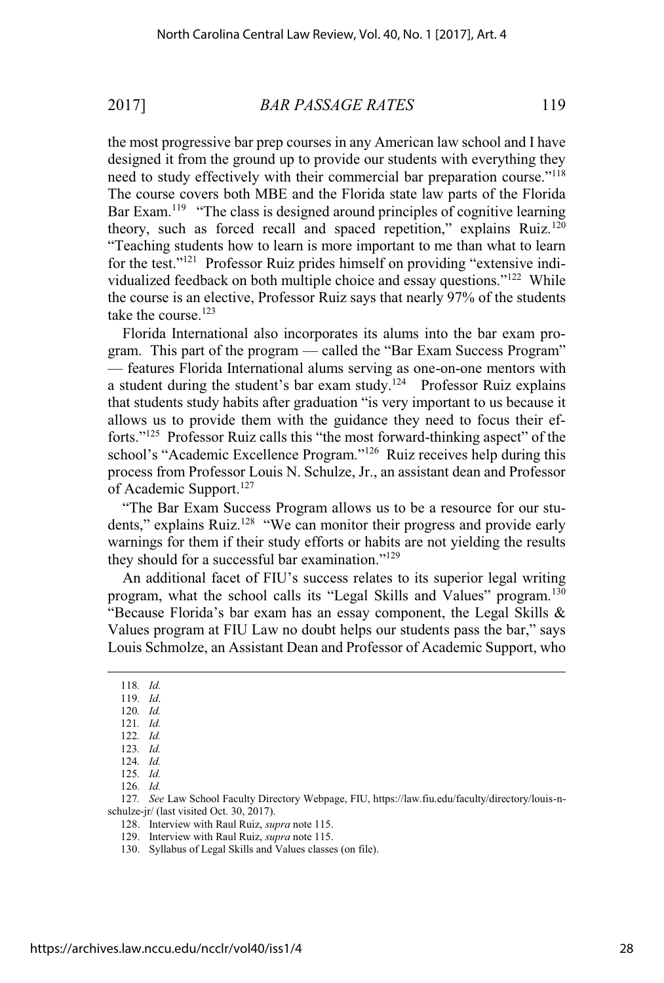the most progressive bar prep courses in any American law school and I have designed it from the ground up to provide our students with everything they need to study effectively with their commercial bar preparation course."<sup>118</sup> The course covers both MBE and the Florida state law parts of the Florida Bar Exam.<sup>119</sup> "The class is designed around principles of cognitive learning theory, such as forced recall and spaced repetition," explains Ruiz.<sup>120</sup> "Teaching students how to learn is more important to me than what to learn for the test."<sup>121</sup> Professor Ruiz prides himself on providing "extensive individualized feedback on both multiple choice and essay questions."<sup>122</sup> While the course is an elective, Professor Ruiz says that nearly 97% of the students take the course.<sup>123</sup>

Florida International also incorporates its alums into the bar exam program. This part of the program — called the "Bar Exam Success Program" — features Florida International alums serving as one-on-one mentors with a student during the student's bar exam study.<sup>124</sup> Professor Ruiz explains that students study habits after graduation "is very important to us because it allows us to provide them with the guidance they need to focus their efforts." $125$  Professor Ruiz calls this "the most forward-thinking aspect" of the school's "Academic Excellence Program."<sup>126</sup> Ruiz receives help during this process from Professor Louis N. Schulze, Jr., an assistant dean and Professor of Academic Support.<sup>127</sup>

"The Bar Exam Success Program allows us to be a resource for our students," explains Ruiz.<sup>128</sup> "We can monitor their progress and provide early warnings for them if their study efforts or habits are not yielding the results they should for a successful bar examination."<sup>129</sup>

An additional facet of FIU's success relates to its superior legal writing program, what the school calls its "Legal Skills and Values" program.<sup>130</sup> "Because Florida's bar exam has an essay component, the Legal Skills  $\&$ Values program at FIU Law no doubt helps our students pass the bar," says Louis Schmolze, an Assistant Dean and Professor of Academic Support, who

120*. Id.* 121*. Id.*

127*. See* Law School Faculty Directory Webpage, FIU, https://law.fiu.edu/faculty/directory/louis-nschulze-jr/ (last visited Oct. 30, 2017).

128. Interview with Raul Ruiz, *supra* note 115.

<sup>118</sup>*. Id.*

<sup>119</sup>*. Id*.

<sup>122</sup>*. Id.*

<sup>123</sup>*. Id.*

<sup>124</sup>*. Id.*

<sup>125</sup>*. Id.*

<sup>126</sup>*. Id.*

<sup>129.</sup> Interview with Raul Ruiz, *supra* note 115.

<sup>130.</sup> Syllabus of Legal Skills and Values classes (on file).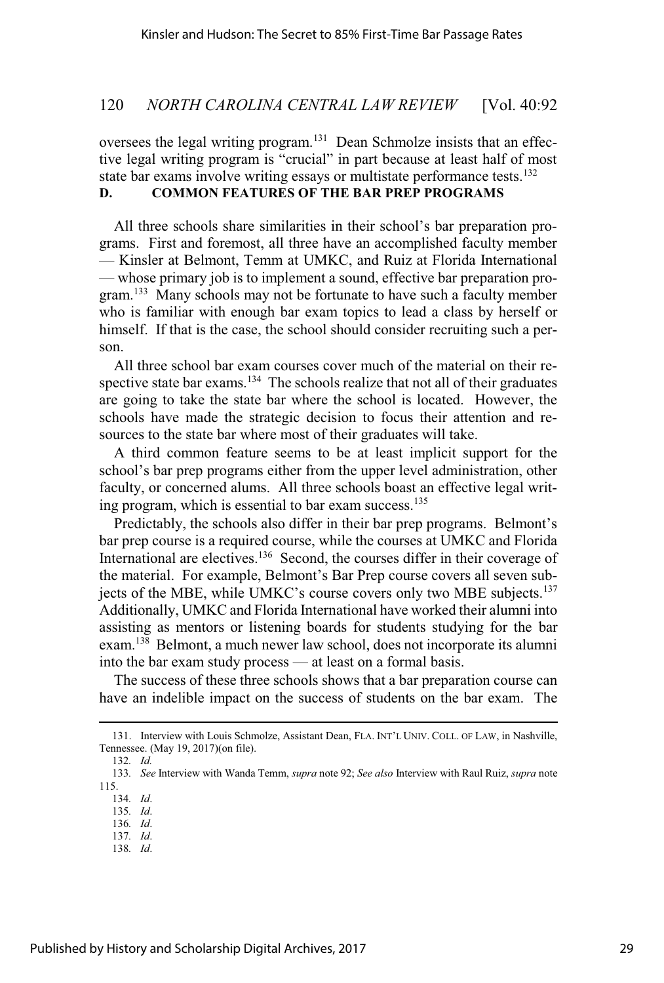oversees the legal writing program.<sup>131</sup> Dean Schmolze insists that an effective legal writing program is "crucial" in part because at least half of most state bar exams involve writing essays or multistate performance tests.<sup>132</sup>

# **D. COMMON FEATURES OF THE BAR PREP PROGRAMS**

All three schools share similarities in their school's bar preparation programs. First and foremost, all three have an accomplished faculty member — Kinsler at Belmont, Temm at UMKC, and Ruiz at Florida International — whose primary job is to implement a sound, effective bar preparation program.<sup>133</sup> Many schools may not be fortunate to have such a faculty member who is familiar with enough bar exam topics to lead a class by herself or himself. If that is the case, the school should consider recruiting such a person.

All three school bar exam courses cover much of the material on their respective state bar exams.<sup>134</sup> The schools realize that not all of their graduates are going to take the state bar where the school is located. However, the schools have made the strategic decision to focus their attention and resources to the state bar where most of their graduates will take.

A third common feature seems to be at least implicit support for the school's bar prep programs either from the upper level administration, other faculty, or concerned alums. All three schools boast an effective legal writing program, which is essential to bar exam success.<sup>135</sup>

Predictably, the schools also differ in their bar prep programs. Belmont's bar prep course is a required course, while the courses at UMKC and Florida International are electives.<sup>136</sup> Second, the courses differ in their coverage of the material. For example, Belmont's Bar Prep course covers all seven subjects of the MBE, while UMKC's course covers only two MBE subjects.<sup>137</sup> Additionally, UMKC and Florida International have worked their alumni into assisting as mentors or listening boards for students studying for the bar exam.<sup>138</sup> Belmont, a much newer law school, does not incorporate its alumni into the bar exam study process — at least on a formal basis.

The success of these three schools shows that a bar preparation course can have an indelible impact on the success of students on the bar exam. The

132*. Id.*

134*. Id*.

135*. Id*.

136*. Id*. 137*. Id*.

138*. Id*.

<sup>131.</sup> Interview with Louis Schmolze, Assistant Dean, FLA. INT'L UNIV. COLL. OF LAW, in Nashville, Tennessee. (May 19, 2017)(on file).

<sup>133</sup>*. See* Interview with Wanda Temm, *supra* note 92; *See also* Interview with Raul Ruiz, *supra* note 115.